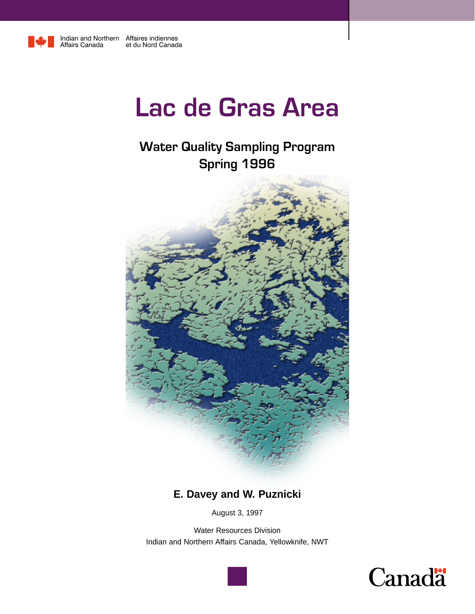

Indian and Northern Affaires indiennes Affairs Canada et du Nord Canada

# **Lac de Gras Area**

# **Water Quality Sampling Program Spring 1996**



# **E. Davey and W. Puznicki**

August 3, 1997

Water Resources Division Indian and Northern Affairs Canada, Yellowknife, NWT



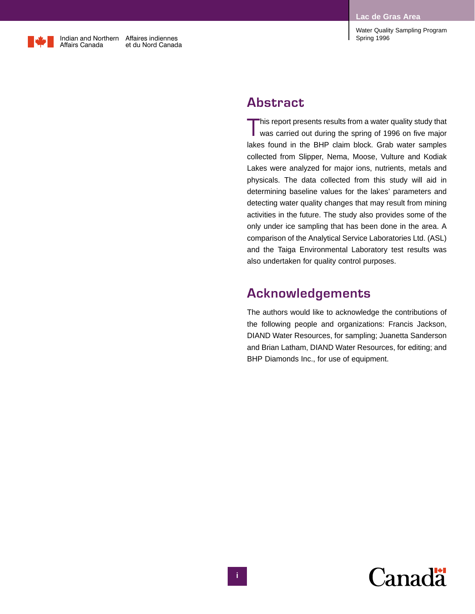

### **Abstract**

This report presents results from a water quality study that was carried out during the spring of 1996 on five major lakes found in the BHP claim block. Grab water samples collected from Slipper, Nema, Moose, Vulture and Kodiak Lakes were analyzed for major ions, nutrients, metals and physicals. The data collected from this study will aid in determining baseline values for the lakes' parameters and detecting water quality changes that may result from mining activities in the future. The study also provides some of the only under ice sampling that has been done in the area. A comparison of the Analytical Service Laboratories Ltd. (ASL) and the Taiga Environmental Laboratory test results was also undertaken for quality control purposes.

# **Acknowledgements**

The authors would like to acknowledge the contributions of the following people and organizations: Francis Jackson, DIAND Water Resources, for sampling; Juanetta Sanderson and Brian Latham, DIAND Water Resources, for editing; and BHP Diamonds Inc., for use of equipment.

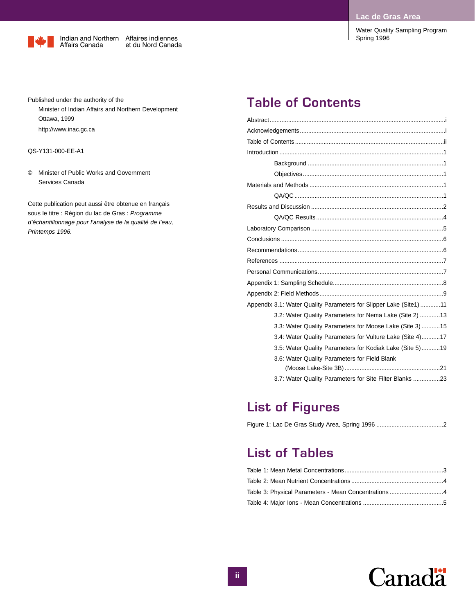Water Quality Sampling Program



Published under the authority of the Minister of Indian Affairs and Northern Development Ottawa, 1999 http://www.inac.gc.ca

#### QS-Y131-000-EE-A1

© Minister of Public Works and Government Services Canada

Cette publication peut aussi être obtenue en français sous le titre : Région du lac de Gras : *Programme d'échantillonnage pour l'analyse de la qualité de l'eau, Printemps 1996.*

# **Table of Contents**

| Appendix 3.1: Water Quality Parameters for Slipper Lake (Site1)11 |
|-------------------------------------------------------------------|
| 3.2: Water Quality Parameters for Nema Lake (Site 2)  13          |
| 3.3: Water Quality Parameters for Moose Lake (Site 3) 15          |
| 3.4: Water Quality Parameters for Vulture Lake (Site 4)17         |
| 3.5: Water Quality Parameters for Kodiak Lake (Site 5)19          |
| 3.6: Water Quality Parameters for Field Blank                     |
|                                                                   |
| 3.7: Water Quality Parameters for Site Filter Blanks 23           |

# **List of Figures**

|--|--|

### **List of Tables**

| Table 3: Physical Parameters - Mean Concentrations 4 |  |
|------------------------------------------------------|--|
|                                                      |  |
|                                                      |  |

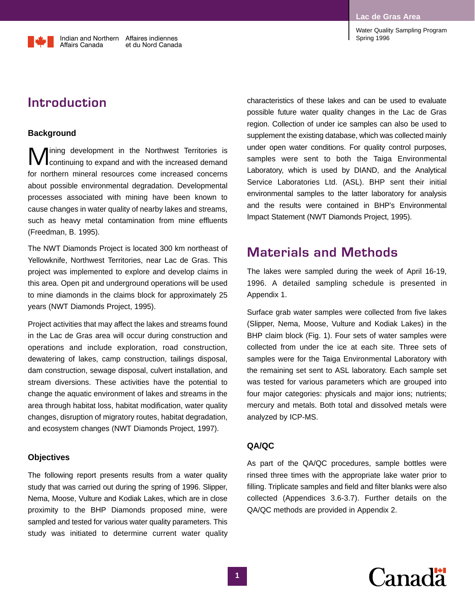**Introduction**

Affairs Canada

### **Background**

**M** ining development in the Northwest Territories is<br> **Continuing to expand and with the increased demand** for northern mineral resources come increased concerns about possible environmental degradation. Developmental processes associated with mining have been known to cause changes in water quality of nearby lakes and streams, such as heavy metal contamination from mine effluents (Freedman, B. 1995).

Indian and Northern Affaires indiennes

et du Nord Canada

The NWT Diamonds Project is located 300 km northeast of Yellowknife, Northwest Territories, near Lac de Gras. This project was implemented to explore and develop claims in this area. Open pit and underground operations will be used to mine diamonds in the claims block for approximately 25 years (NWT Diamonds Project, 1995).

Project activities that may affect the lakes and streams found in the Lac de Gras area will occur during construction and operations and include exploration, road construction, dewatering of lakes, camp construction, tailings disposal, dam construction, sewage disposal, culvert installation, and stream diversions. These activities have the potential to change the aquatic environment of lakes and streams in the area through habitat loss, habitat modification, water quality changes, disruption of migratory routes, habitat degradation, and ecosystem changes (NWT Diamonds Project, 1997).

### **Objectives**

The following report presents results from a water quality study that was carried out during the spring of 1996. Slipper, Nema, Moose, Vulture and Kodiak Lakes, which are in close proximity to the BHP Diamonds proposed mine, were sampled and tested for various water quality parameters. This study was initiated to determine current water quality characteristics of these lakes and can be used to evaluate possible future water quality changes in the Lac de Gras region. Collection of under ice samples can also be used to supplement the existing database, which was collected mainly under open water conditions. For quality control purposes, samples were sent to both the Taiga Environmental Laboratory, which is used by DIAND, and the Analytical Service Laboratories Ltd. (ASL). BHP sent their initial environmental samples to the latter laboratory for analysis and the results were contained in BHP's Environmental Impact Statement (NWT Diamonds Project, 1995).

### **Materials and Methods**

The lakes were sampled during the week of April 16-19, 1996. A detailed sampling schedule is presented in Appendix 1.

Surface grab water samples were collected from five lakes (Slipper, Nema, Moose, Vulture and Kodiak Lakes) in the BHP claim block (Fig. 1). Four sets of water samples were collected from under the ice at each site. Three sets of samples were for the Taiga Environmental Laboratory with the remaining set sent to ASL laboratory. Each sample set was tested for various parameters which are grouped into four major categories: physicals and major ions; nutrients; mercury and metals. Both total and dissolved metals were analyzed by ICP-MS.

### **QA/QC**

As part of the QA/QC procedures, sample bottles were rinsed three times with the appropriate lake water prior to filling. Triplicate samples and field and filter blanks were also collected (Appendices 3.6-3.7). Further details on the QA/QC methods are provided in Appendix 2.

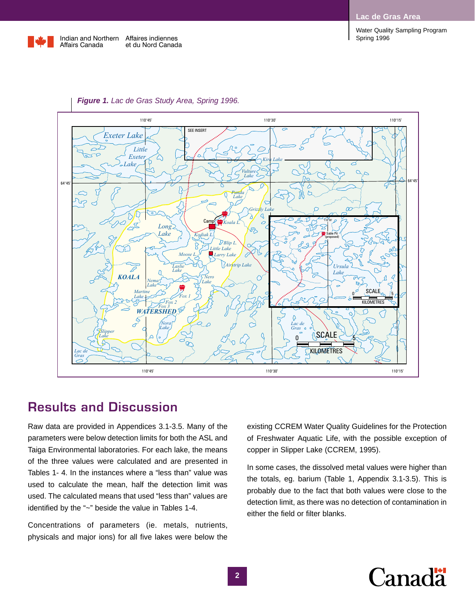**Lac de Gras Area**

Spring 1996

Water Quality Sampling Program





### *Figure 1. Lac de Gras Study Area, Spring 1996.*

# **Results and Discussion**

Raw data are provided in Appendices 3.1-3.5. Many of the parameters were below detection limits for both the ASL and Taiga Environmental laboratories. For each lake, the means of the three values were calculated and are presented in Tables 1- 4. In the instances where a "less than" value was used to calculate the mean, half the detection limit was used. The calculated means that used "less than" values are identified by the "~" beside the value in Tables 1-4.

Concentrations of parameters (ie. metals, nutrients, physicals and major ions) for all five lakes were below the

existing CCREM Water Quality Guidelines for the Protection of Freshwater Aquatic Life, with the possible exception of copper in Slipper Lake (CCREM, 1995).

In some cases, the dissolved metal values were higher than the totals, eg. barium (Table 1, Appendix 3.1-3.5). This is probably due to the fact that both values were close to the detection limit, as there was no detection of contamination in either the field or filter blanks.

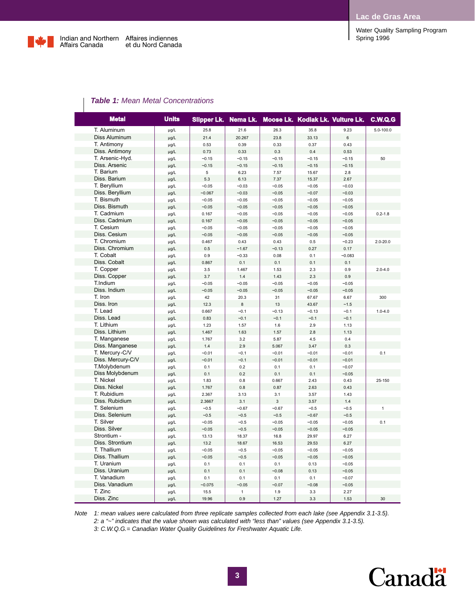

|             | <b>Water Quality Sampling Program</b> |  |
|-------------|---------------------------------------|--|
| Spring 1996 |                                       |  |

|  |  | <b>Table 1:</b> Mean Metal Concentrations |
|--|--|-------------------------------------------|
|--|--|-------------------------------------------|

|             | <b>Metal</b>      | <b>Units</b> |          | Slipper Lk. Nema Lk. |         | Moose Lk. Kodiak Lk. Vulture Lk. |          | C.W.Q.G      |
|-------------|-------------------|--------------|----------|----------------------|---------|----------------------------------|----------|--------------|
|             | T. Aluminum       | µg/L         | 25.8     | 21.6                 | 26.3    | 35.8                             | 9.23     | 5.0-100.0    |
|             | Diss Aluminum     | $\mu$ g/L    | 21.4     | 20.267               | 23.8    | 33.13                            | 6        |              |
|             | T. Antimony       | µg/L         | 0.53     | 0.39                 | 0.33    | 0.37                             | 0.43     |              |
|             | Diss. Antimony    | $\mu$ g/L    | 0.73     | 0.33                 | 0.3     | 0.4                              | 0.53     |              |
|             | T. Arsenic-Hyd.   | µg/L         | $-0.15$  | $-0.15$              | $-0.15$ | $-0.15$                          | $-0.15$  | 50           |
|             | Diss. Arsenic     | µg/L         | $-0.15$  | $-0.15$              | $-0.15$ | $-0.15$                          | $-0.15$  |              |
| T. Barium   |                   | µg/L         | 5        | 6.23                 | 7.57    | 15.67                            | 2.8      |              |
|             | Diss. Barium      | $\mu$ g/L    | 5.3      | 6.13                 | 7.37    | 15.37                            | 2.67     |              |
|             | T. Beryllium      | µg/L         | $-0.05$  | $-0.03$              | $-0.05$ | $-0.05$                          | $-0.03$  |              |
|             | Diss. Beryllium   | $\mu$ g/L    | $-0.067$ | $-0.03$              | $-0.05$ | $-0.07$                          | $-0.03$  |              |
| T. Bismuth  |                   | µg/L         | $-0.05$  | $-0.05$              | $-0.05$ | $-0.05$                          | $-0.05$  |              |
|             | Diss. Bismuth     | µg/L         | $-0.05$  | $-0.05$              | $-0.05$ | $-0.05$                          | $-0.05$  |              |
|             | T. Cadmium        | µg/L         | 0.167    | $-0.05$              | $-0.05$ | $-0.05$                          | $-0.05$  | $0.2 - 1.8$  |
|             | Diss. Cadmium     | $\mu$ g/L    | 0.167    | $-0.05$              | $-0.05$ | $-0.05$                          | $-0.05$  |              |
| T. Cesium   |                   | µg/L         | $-0.05$  | $-0.05$              | $-0.05$ | $-0.05$                          | $-0.05$  |              |
|             | Diss. Cesium      | $\mu$ g/L    | $-0.05$  | $-0.05$              | $-0.05$ | $-0.05$                          | $-0.05$  |              |
|             | T. Chromium       | µg/L         | 0.467    | 0.43                 | 0.43    | 0.5                              | $-0.23$  | $2.0 - 20.0$ |
|             | Diss. Chromium    | $\mu$ g/L    | 0.5      | $-1.67$              | $-0.13$ | 0.27                             | 0.17     |              |
| T. Cobalt   |                   | $\mu$ g/L    | 0.9      | $-0.33$              | 0.08    | 0.1                              | $-0.083$ |              |
|             | Diss. Cobalt      | $\mu$ g/L    | 0.867    | 0.1                  | 0.1     | 0.1                              | 0.1      |              |
| T. Copper   |                   | µg/L         | 3.5      | 1.467                | 1.53    | 2.3                              | 0.9      | $2.0 - 4.0$  |
|             | Diss. Copper      | $\mu$ g/L    | 3.7      | 1.4                  | 1.43    | 2.3                              | 0.9      |              |
| T.Indium    |                   | µg/L         | $-0.05$  | $-0.05$              | $-0.05$ | $-0.05$                          | $-0.05$  |              |
|             | Diss. Indium      | $\mu$ g/L    | $-0.05$  | $-0.05$              | $-0.05$ | $-0.05$                          | $-0.05$  |              |
| T. Iron     |                   | $\mu$ g/L    | 42       | 20.3                 | 31      | 67.67                            | 6.67     | 300          |
| Diss. Iron  |                   | $\mu$ g/L    | 12.3     | 8                    | 13      | 43.67                            | ~1.5     |              |
| T. Lead     |                   | µg/L         | 0.667    | $-0.1$               | $-0.13$ | $-0.13$                          | $-0.1$   | $1.0 - 4.0$  |
| Diss. Lead  |                   | µg/L         | 0.83     | $-0.1$               | $-0.1$  | $-0.1$                           | $-0.1$   |              |
| T. Lithium  |                   | µg/L         | 1.23     | 1.57                 | 1.6     | 2.9                              | 1.13     |              |
|             | Diss. Lithium     | $\mu$ g/L    | 1.467    | 1.63                 | 1.57    | 2.8                              | 1.13     |              |
|             | T. Manganese      | µg/L         | 1.767    | 3.2                  | 5.87    | 4.5                              | 0.4      |              |
|             | Diss. Manganese   | $\mu$ g/L    | 1.4      | 2.9                  | 5.067   | 3.47                             | 0.3      |              |
|             | T. Mercury-C/V    | µg/L         | $-0.01$  | $-0.1$               | $-0.01$ | $-0.01$                          | $-0.01$  | 0.1          |
|             | Diss. Mercury-C/V | µg/L         | $-0.01$  | $-0.1$               | $-0.01$ | $-0.01$                          | $-0.01$  |              |
|             | T.Molybdenum      | µg/L         | 0.1      | 0.2                  | 0.1     | 0.1                              | $-0.07$  |              |
|             | Diss Molybdenum   | $\mu$ g/L    | 0.1      | 0.2                  | 0.1     | 0.1                              | $-0.05$  |              |
| T. Nickel   |                   | µg/L         | 1.83     | 0.8                  | 0.667   | 2.43                             | 0.43     | 25-150       |
|             | Diss. Nickel      | $\mu$ g/L    | 1.767    | 0.8                  | 0.87    | 2.63                             | 0.43     |              |
|             | T. Rubidium       | µg/L         | 2.367    | 3.13                 | 3.1     | 3.57                             | 1.43     |              |
|             | Diss. Rubidium    | $\mu$ g/L    | 2.3667   | 3.1                  | 3       | 3.57                             | 1.4      |              |
|             | T. Selenium       | µg/L         | $-0.5$   | $-0.67$              | $-0.67$ | $-0.5$                           | $-0.5$   | $\mathbf{1}$ |
|             | Diss. Selenium    | $\mu$ g/L    | $-0.5$   | $-0.5$               | $-0.5$  | $-0.67$                          | $-0.5$   |              |
| T. Silver   |                   | µg/L         | $-0.05$  | $-0.5$               | $-0.05$ | $-0.05$                          | $-0.05$  | 0.1          |
|             | Diss. Silver      | $\mu g/L$    | $-0.05$  | $-0.5$               | $-0.05$ | $-0.05$                          | $-0.05$  |              |
|             | Strontium -       | µg/L         | 13.13    | 18.37                | 16.8    | 29.97                            | 6.27     |              |
|             | Diss. Strontium   | $\mu g/L$    | 13.2     | 18.67                | 16.53   | 29.53                            | 6.27     |              |
| T. Thallium |                   | µg/L         | $-0.05$  | $-0.5$               | $-0.05$ | $-0.05$                          | $-0.05$  |              |
|             | Diss. Thallium    | µg/L         | $-0.05$  | $-0.5$               | $-0.05$ | $-0.05$                          | $-0.05$  |              |
| T. Uranium  |                   | µg/L         | 0.1      | 0.1                  | 0.1     | 0.13                             | $-0.05$  |              |
|             | Diss. Uranium     | $\mu$ g/L    | 0.1      | 0.1                  | $-0.08$ | 0.13                             | $-0.05$  |              |
|             | T. Vanadium       | µg/L         | 0.1      | 0.1                  | 0.1     | 0.1                              | $-0.07$  |              |
|             | Diss. Vanadium    | $\mu g/L$    | $-0.075$ | $-0.05$              | $-0.07$ | $-0.08$                          | $-0.05$  |              |
| T. Zinc     |                   | µg/L         | 15.5     | 1                    | 1.9     | 3.3                              | 2.27     |              |
| Diss. Zinc  |                   | $\mu$ g/L    | 19.96    | 0.9                  | 1.27    | 3.3                              | 1.53     | 30           |

*Note 1: mean values were calculated from three replicate samples collected from each lake (see Appendix 3.1-3.5). 2: a "~" indicates that the value shown was calculated with "less than" values (see Appendix 3.1-3.5). 3: C.W.Q.G.= Canadian Water Quality Guidelines for Freshwater Aquatic Life.*

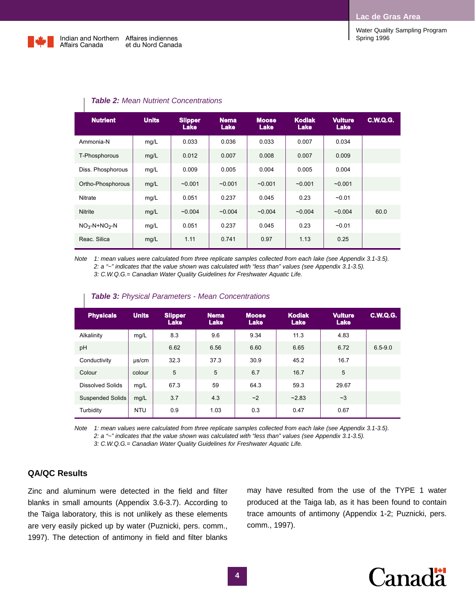Water Quality Sampling Program



| <b>Nutrient</b>   | <b>Units</b> | <b>Slipper</b><br><b>Lake</b> | <b>Nema</b><br>Lake | <b>Moose</b><br>Lake | <b>Kodiak</b><br>Lake | <b>Vulture</b><br>Lake | <b>C.W.Q.G.</b> |
|-------------------|--------------|-------------------------------|---------------------|----------------------|-----------------------|------------------------|-----------------|
| Ammonia-N         | mq/L         | 0.033                         | 0.036               | 0.033                | 0.007                 | 0.034                  |                 |
| T-Phosphorous     | mg/L         | 0.012                         | 0.007               | 0.008                | 0.007                 | 0.009                  |                 |
| Diss. Phosphorous | mq/L         | 0.009                         | 0.005               | 0.004                | 0.005                 | 0.004                  |                 |
| Ortho-Phosphorous | mg/L         | $-0.001$                      | $-0.001$            | $-0.001$             | $-0.001$              | $-0.001$               |                 |
| <b>Nitrate</b>    | mg/L         | 0.051                         | 0.237               | 0.045                | 0.23                  | $-0.01$                |                 |
| <b>Nitrite</b>    | mg/L         | $-0.004$                      | $-0.004$            | $-0.004$             | $-0.004$              | $-0.004$               | 60.0            |
| $NO3-N+NO2-N$     | mg/L         | 0.051                         | 0.237               | 0.045                | 0.23                  | $-0.01$                |                 |
| Reac. Silica      | mg/L         | 1.11                          | 0.741               | 0.97                 | 1.13                  | 0.25                   |                 |

### *Table 2: Mean Nutrient Concentrations*

*Note 1: mean values were calculated from three replicate samples collected from each lake (see Appendix 3.1-3.5). 2: a "~" indicates that the value shown was calculated with "less than" values (see Appendix 3.1-3.5). 3: C.W.Q.G.= Canadian Water Quality Guidelines for Freshwater Aquatic Life.*

| <b>Physicals</b>        | <b>Units</b> | <b>Slipper</b><br><b>Lake</b> | <b>Nema</b><br>Lake | <b>Moose</b><br><b>Lake</b> | <b>Kodiak</b><br>Lake | <b>Vulture</b><br><b>Lake</b> | <b>C.W.Q.G.</b> |
|-------------------------|--------------|-------------------------------|---------------------|-----------------------------|-----------------------|-------------------------------|-----------------|
| Alkalinity              | mq/L         | 8.3                           | 9.6                 | 9.34                        | 11.3                  | 4.83                          |                 |
| pH                      |              | 6.62                          | 6.56                | 6.60                        | 6.65                  | 6.72                          | $6.5 - 9.0$     |
| Conductivity            | $\mu$ s/cm   | 32.3                          | 37.3                | 30.9                        | 45.2                  | 16.7                          |                 |
| Colour                  | colour       | 5                             | 5                   | 6.7                         | 16.7                  | 5                             |                 |
| <b>Dissolved Solids</b> | mq/L         | 67.3                          | 59                  | 64.3                        | 59.3                  | 29.67                         |                 |
| <b>Suspended Solids</b> | mq/L         | 3.7                           | 4.3                 | ~2                          | $-2.83$               | $-3$                          |                 |
| Turbidity               | <b>NTU</b>   | 0.9                           | 1.03                | 0.3                         | 0.47                  | 0.67                          |                 |

#### *Table 3: Physical Parameters - Mean Concentrations*

*Note 1: mean values were calculated from three replicate samples collected from each lake (see Appendix 3.1-3.5). 2: a "~" indicates that the value shown was calculated with "less than" values (see Appendix 3.1-3.5). 3: C.W.Q.G.= Canadian Water Quality Guidelines for Freshwater Aquatic Life.*

### **QA/QC Results**

Zinc and aluminum were detected in the field and filter blanks in small amounts (Appendix 3.6-3.7). According to the Taiga laboratory, this is not unlikely as these elements are very easily picked up by water (Puznicki, pers. comm., 1997). The detection of antimony in field and filter blanks

may have resulted from the use of the TYPE 1 water produced at the Taiga lab, as it has been found to contain trace amounts of antimony (Appendix 1-2; Puznicki, pers. comm., 1997).

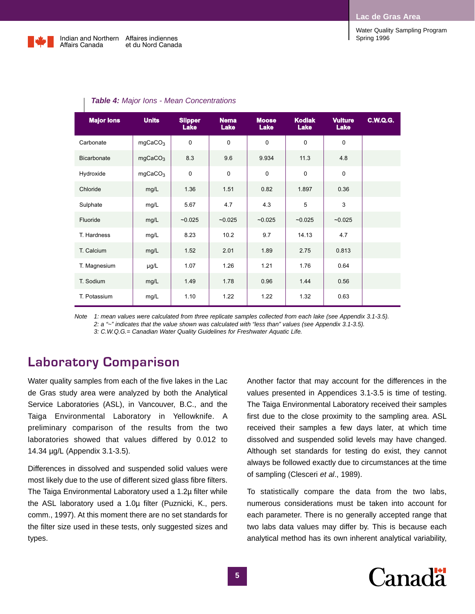Water Quality Sampling Program



Affaires indiennes et du Nord Canada

| <b>Major lons</b>  | <b>Units</b>        | <b>Slipper</b><br><b>Lake</b> | <b>Nema</b><br><b>Lake</b> | <b>Moose</b><br><b>Lake</b> | <b>Kodiak</b><br>Lake | <b>Vulture</b><br><b>Lake</b> | <b>C.W.Q.G.</b> |
|--------------------|---------------------|-------------------------------|----------------------------|-----------------------------|-----------------------|-------------------------------|-----------------|
| Carbonate          | mgCaCO <sub>3</sub> | $\mathbf 0$                   | $\Omega$                   | $\Omega$                    | $\mathbf 0$           | $\Omega$                      |                 |
| <b>Bicarbonate</b> | mgCaCO <sub>3</sub> | 8.3                           | 9.6                        | 9.934                       | 11.3                  | 4.8                           |                 |
| Hydroxide          | mgCaCO <sub>3</sub> | $\pmb{0}$                     | $\mathbf 0$                | $\mathbf 0$                 | $\mathbf 0$           | $\mathbf 0$                   |                 |
| Chloride           | mg/L                | 1.36                          | 1.51                       | 0.82                        | 1.897                 | 0.36                          |                 |
| Sulphate           | mg/L                | 5.67                          | 4.7                        | 4.3                         | 5                     | 3                             |                 |
| Fluoride           | mg/L                | $-0.025$                      | $-0.025$                   | $-0.025$                    | $-0.025$              | $-0.025$                      |                 |
| T. Hardness        | mg/L                | 8.23                          | 10.2                       | 9.7                         | 14.13                 | 4.7                           |                 |
| T. Calcium         | mg/L                | 1.52                          | 2.01                       | 1.89                        | 2.75                  | 0.813                         |                 |
| T. Magnesium       | $\mu$ g/L           | 1.07                          | 1.26                       | 1.21                        | 1.76                  | 0.64                          |                 |
| T. Sodium          | mg/L                | 1.49                          | 1.78                       | 0.96                        | 1.44                  | 0.56                          |                 |
| T. Potassium       | mg/L                | 1.10                          | 1.22                       | 1.22                        | 1.32                  | 0.63                          |                 |

#### *Table 4: Major Ions - Mean Concentrations*

*Note 1: mean values were calculated from three replicate samples collected from each lake (see Appendix 3.1-3.5). 2: a "~" indicates that the value shown was calculated with "less than" values (see Appendix 3.1-3.5). 3: C.W.Q.G.= Canadian Water Quality Guidelines for Freshwater Aquatic Life.*

### **Laboratory Comparison**

Water quality samples from each of the five lakes in the Lac de Gras study area were analyzed by both the Analytical Service Laboratories (ASL), in Vancouver, B.C., and the Taiga Environmental Laboratory in Yellowknife. A preliminary comparison of the results from the two laboratories showed that values differed by 0.012 to 14.34 µg/L (Appendix 3.1-3.5).

Differences in dissolved and suspended solid values were most likely due to the use of different sized glass fibre filters. The Taiga Environmental Laboratory used a 1.2µ filter while the ASL laboratory used a 1.0µ filter (Puznicki, K., pers. comm., 1997). At this moment there are no set standards for the filter size used in these tests, only suggested sizes and types.

Another factor that may account for the differences in the values presented in Appendices 3.1-3.5 is time of testing. The Taiga Environmental Laboratory received their samples first due to the close proximity to the sampling area. ASL received their samples a few days later, at which time dissolved and suspended solid levels may have changed. Although set standards for testing do exist, they cannot always be followed exactly due to circumstances at the time of sampling (Clesceri *et al*., 1989).

To statistically compare the data from the two labs, numerous considerations must be taken into account for each parameter. There is no generally accepted range that two labs data values may differ by. This is because each analytical method has its own inherent analytical variability,

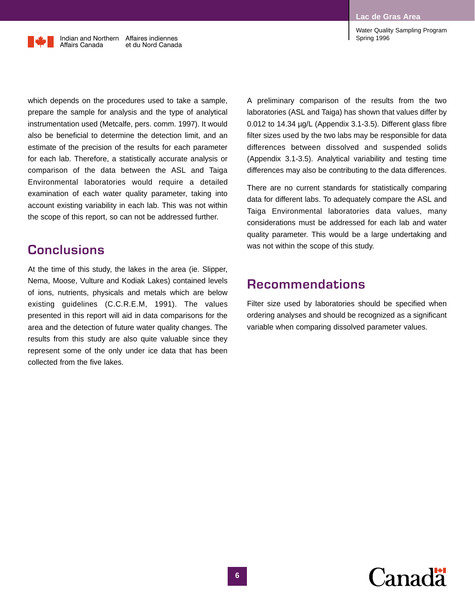Indian and Northern Affaires indiennes Affairs Canada et du Nord Canada

which depends on the procedures used to take a sample, prepare the sample for analysis and the type of analytical instrumentation used (Metcalfe, pers. comm. 1997). It would also be beneficial to determine the detection limit, and an estimate of the precision of the results for each parameter for each lab. Therefore, a statistically accurate analysis or comparison of the data between the ASL and Taiga Environmental laboratories would require a detailed examination of each water quality parameter, taking into account existing variability in each lab. This was not within the scope of this report, so can not be addressed further.

### **Conclusions**

At the time of this study, the lakes in the area (ie. Slipper, Nema, Moose, Vulture and Kodiak Lakes) contained levels of ions, nutrients, physicals and metals which are below existing guidelines (C.C.R.E.M, 1991). The values presented in this report will aid in data comparisons for the area and the detection of future water quality changes. The results from this study are also quite valuable since they represent some of the only under ice data that has been collected from the five lakes.

A preliminary comparison of the results from the two laboratories (ASL and Taiga) has shown that values differ by 0.012 to 14.34 µg/L (Appendix 3.1-3.5). Different glass fibre filter sizes used by the two labs may be responsible for data differences between dissolved and suspended solids (Appendix 3.1-3.5). Analytical variability and testing time differences may also be contributing to the data differences.

There are no current standards for statistically comparing data for different labs. To adequately compare the ASL and Taiga Environmental laboratories data values, many considerations must be addressed for each lab and water quality parameter. This would be a large undertaking and was not within the scope of this study.

# **Recommendations**

Filter size used by laboratories should be specified when ordering analyses and should be recognized as a significant variable when comparing dissolved parameter values.

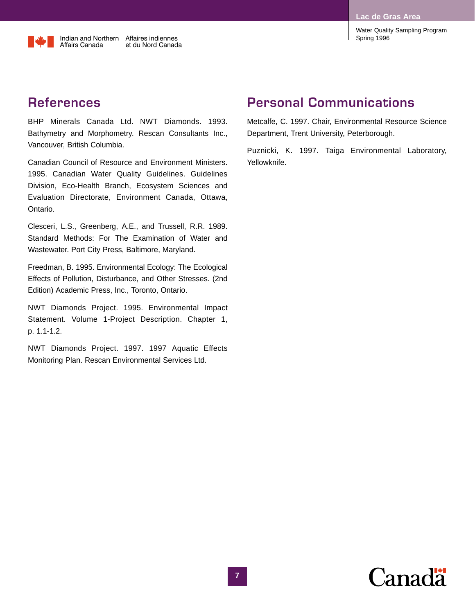**Lac de Gras Area**

Water Quality Sampling Program Spring 1996

# **References**

BHP Minerals Canada Ltd. NWT Diamonds. 1993. Bathymetry and Morphometry. Rescan Consultants Inc., Vancouver, British Columbia.

Canadian Council of Resource and Environment Ministers. 1995. Canadian Water Quality Guidelines. Guidelines Division, Eco-Health Branch, Ecosystem Sciences and Evaluation Directorate, Environment Canada, Ottawa, Ontario.

Clesceri, L.S., Greenberg, A.E., and Trussell, R.R. 1989. Standard Methods: For The Examination of Water and Wastewater. Port City Press, Baltimore, Maryland.

Freedman, B. 1995. Environmental Ecology: The Ecological Effects of Pollution, Disturbance, and Other Stresses. (2nd Edition) Academic Press, Inc., Toronto, Ontario.

NWT Diamonds Project. 1995. Environmental Impact Statement. Volume 1-Project Description. Chapter 1, p. 1.1-1.2.

NWT Diamonds Project. 1997. 1997 Aquatic Effects Monitoring Plan. Rescan Environmental Services Ltd.

# **Personal Communications**

Metcalfe, C. 1997. Chair, Environmental Resource Science Department, Trent University, Peterborough.

Puznicki, K. 1997. Taiga Environmental Laboratory, Yellowknife.

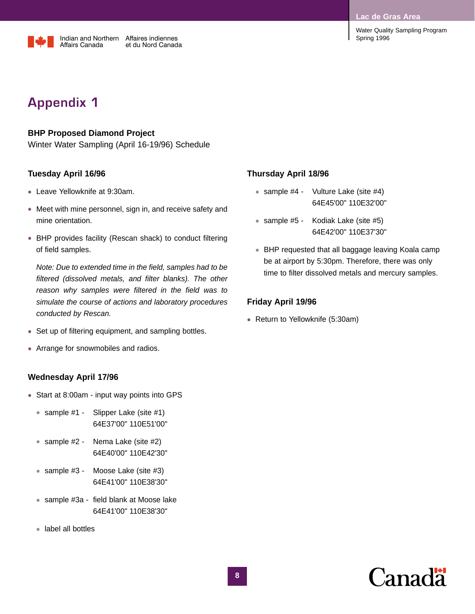**Lac de Gras Are** 



Water Quality Sampling Program Spring 1996

# **Appendix 1**

### **BHP Proposed Diamond Project**

Winter Water Sampling (April 16-19/96) Schedule

### **Tuesday April 16/96**

- Leave Yellowknife at 9:30am.
- Meet with mine personnel, sign in, and receive safety and mine orientation.
- BHP provides facility (Rescan shack) to conduct filtering of field samples.

*Note: Due to extended time in the field, samples had to be filtered (dissolved metals, and filter blanks). The other reason why samples were filtered in the field was to simulate the course of actions and laboratory procedures conducted by Rescan.*

- Set up of filtering equipment, and sampling bottles.
- Arrange for snowmobiles and radios.

### **Wednesday April 17/96**

- Start at 8:00am input way points into GPS
	- sample #1 Slipper Lake (site #1) 64E37'00" 110E51'00"
	- sample #2 Nema Lake (site #2) 64E40'00" 110E42'30"
	- sample #3 Moose Lake (site #3) 64E41'00" 110E38'30"
	- sample #3a field blank at Moose lake 64E41'00" 110E38'30"
	- label all bottles

### **Thursday April 18/96**

- sample #4 Vulture Lake (site #4) 64E45'00" 110E32'00"
- sample #5 Kodiak Lake (site #5) 64E42'00" 110E37'30"
- BHP requested that all baggage leaving Koala camp be at airport by 5:30pm. Therefore, there was only time to filter dissolved metals and mercury samples.

### **Friday April 19/96**

• Return to Yellowknife (5:30am)

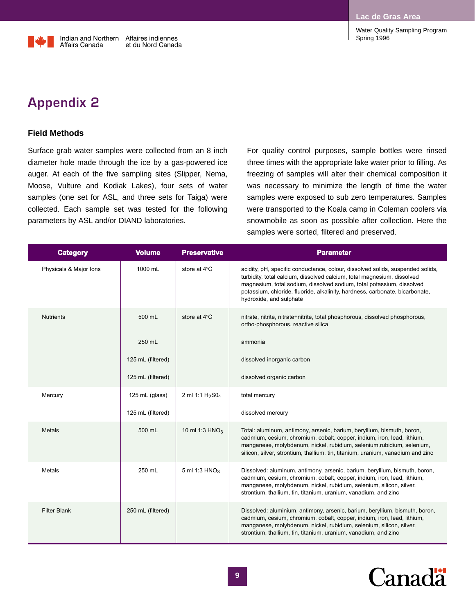**Lac de Gras Area**

Water Quality Sampling Program Spring 1996

Indian and Northern Affaires indiennes Affairs Canada et du Nord Canada

# **Appendix 2**

### **Field Methods**

Surface grab water samples were collected from an 8 inch diameter hole made through the ice by a gas-powered ice auger. At each of the five sampling sites (Slipper, Nema, Moose, Vulture and Kodiak Lakes), four sets of water samples (one set for ASL, and three sets for Taiga) were collected. Each sample set was tested for the following parameters by ASL and/or DIAND laboratories.

For quality control purposes, sample bottles were rinsed three times with the appropriate lake water prior to filling. As freezing of samples will alter their chemical composition it was necessary to minimize the length of time the water samples were exposed to sub zero temperatures. Samples were transported to the Koala camp in Coleman coolers via snowmobile as soon as possible after collection. Here the samples were sorted, filtered and preserved.

| <b>Category</b>        | <b>Volume</b>     | <b>Preservative</b>                     | <b>Parameter</b>                                                                                                                                                                                                                                                                                                                              |
|------------------------|-------------------|-----------------------------------------|-----------------------------------------------------------------------------------------------------------------------------------------------------------------------------------------------------------------------------------------------------------------------------------------------------------------------------------------------|
| Physicals & Major Ions | 1000 mL           | store at 4°C                            | acidity, pH, specific conductance, colour, dissolved solids, suspended solids,<br>turbidity, total calcium, dissolved calcium, total magnesium, dissolved<br>magnesium, total sodium, dissolved sodium, total potassium, dissolved<br>potassium, chloride, fluoride, alkalinity, hardness, carbonate, bicarbonate,<br>hydroxide, and sulphate |
| <b>Nutrients</b>       | 500 mL            | store at 4°C                            | nitrate, nitrite, nitrate+nitrite, total phosphorous, dissolved phosphorous,<br>ortho-phosphorous, reactive silica                                                                                                                                                                                                                            |
|                        | 250 mL            |                                         | ammonia                                                                                                                                                                                                                                                                                                                                       |
|                        | 125 mL (filtered) |                                         | dissolved inorganic carbon                                                                                                                                                                                                                                                                                                                    |
|                        | 125 mL (filtered) |                                         | dissolved organic carbon                                                                                                                                                                                                                                                                                                                      |
| Mercury                | 125 mL (glass)    | 2 ml 1:1 H <sub>2</sub> S0 <sub>4</sub> | total mercury                                                                                                                                                                                                                                                                                                                                 |
|                        | 125 mL (filtered) |                                         | dissolved mercury                                                                                                                                                                                                                                                                                                                             |
| Metals                 | 500 mL            | 10 ml 1:3 $HNO3$                        | Total: aluminum, antimony, arsenic, barium, beryllium, bismuth, boron,<br>cadmium, cesium, chromium, cobalt, copper, indium, iron, lead, lithium,<br>manganese, molybdenum, nickel, rubidium, selenium, rubidium, selenium,<br>silicon, silver, strontium, thallium, tin, titanium, uranium, vanadium and zinc                                |
| Metals                 | 250 mL            | 5 ml 1:3 $HNO3$                         | Dissolved: aluminum, antimony, arsenic, barium, beryllium, bismuth, boron,<br>cadmium, cesium, chromium, cobalt, copper, indium, iron, lead, lithium,<br>manganese, molybdenum, nickel, rubidium, selenium, silicon, silver,<br>strontium, thallium, tin, titanium, uranium, vanadium, and zinc                                               |
| <b>Filter Blank</b>    | 250 mL (filtered) |                                         | Dissolved: aluminium, antimony, arsenic, barium, beryllium, bismuth, boron,<br>cadmium, cesium, chromium, cobalt, copper, indium, iron, lead, lithium,<br>manganese, molybdenum, nickel, rubidium, selenium, silicon, silver,<br>strontium, thallium, tin, titanium, uranium, vanadium, and zinc                                              |

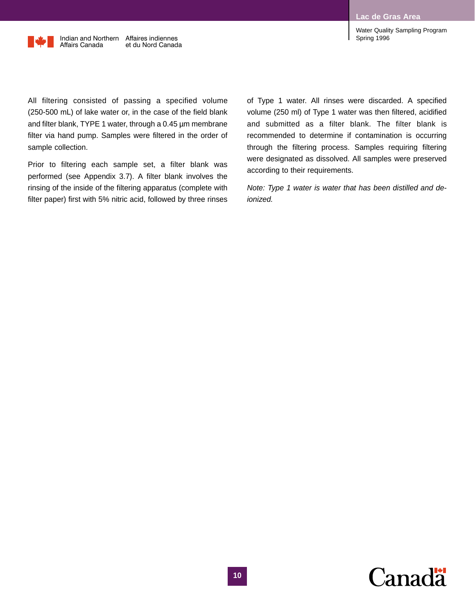

Indian and Northern Affaires indiennes Affairs Canada et du Nord Canada

Water Quality Sampling Program Spring 1996

All filtering consisted of passing a specified volume (250-500 mL) of lake water or, in the case of the field blank and filter blank, TYPE 1 water, through a 0.45 µm membrane filter via hand pump. Samples were filtered in the order of sample collection.

Prior to filtering each sample set, a filter blank was performed (see Appendix 3.7). A filter blank involves the rinsing of the inside of the filtering apparatus (complete with filter paper) first with 5% nitric acid, followed by three rinses of Type 1 water. All rinses were discarded. A specified volume (250 ml) of Type 1 water was then filtered, acidified and submitted as a filter blank. The filter blank is recommended to determine if contamination is occurring through the filtering process. Samples requiring filtering were designated as dissolved. All samples were preserved according to their requirements.

*Note: Type 1 water is water that has been distilled and deionized.*

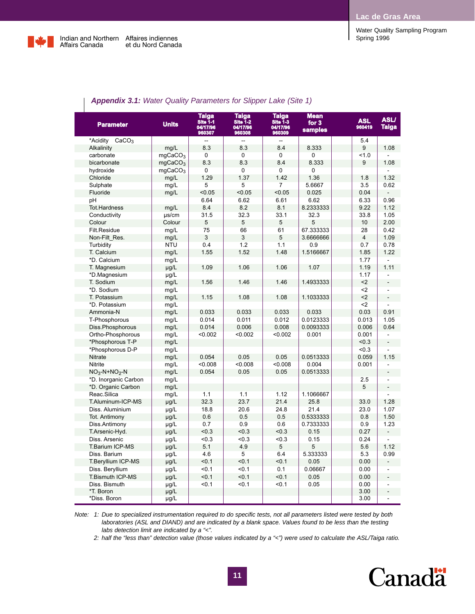

| Water Quality Sampling Program |  |
|--------------------------------|--|
| Spring 1996                    |  |

| <b>Appoints U.I.</b> Watch Quality I aramotors for Ulippor Land follo |                     |                                                |                                                |                                                                 |                                          |                      |                             |
|-----------------------------------------------------------------------|---------------------|------------------------------------------------|------------------------------------------------|-----------------------------------------------------------------|------------------------------------------|----------------------|-----------------------------|
| <b>Parameter</b>                                                      | <b>Units</b>        | <b>Taiga</b><br>Site 1-1<br>04/17/96<br>960307 | <b>Taiga</b><br>Site 1-2<br>04/17/96<br>960308 | <b>Taiga</b><br>$S$ ite $\overline{1}$ -3<br>04/17/96<br>960309 | <b>Mean</b><br>for $3$<br><b>samples</b> | <b>ASL</b><br>960419 | <b>ASLI</b><br><b>Taiga</b> |
| CaCO <sub>3</sub><br>*Acidity                                         |                     | Ξ.                                             | --                                             | --                                                              |                                          | 5.4                  |                             |
| Alkalinity                                                            | mg/L                | 8.3                                            | 8.3                                            | 8.4                                                             | 8.333                                    | 9                    | 1.08                        |
| carbonate                                                             | mqCaCO <sub>3</sub> | $\Omega$                                       | $\Omega$                                       | $\Omega$                                                        | 0                                        | 1.0                  |                             |
| bicarbonate                                                           | mgCaCO <sub>3</sub> | 8.3                                            | 8.3                                            | 8.4                                                             | 8.333                                    | 9                    | 1.08                        |
| hydroxide                                                             | mgCaCO <sub>3</sub> | 0                                              | $\mathbf{0}$                                   | 0                                                               | 0                                        |                      |                             |
| Chloride                                                              | mg/L                | 1.29                                           | 1.37                                           | 1.42                                                            | 1.36                                     | 1.8                  | 1.32                        |
| Sulphate                                                              | mg/L                | 5                                              | 5                                              | 7                                                               | 5.6667                                   | 3.5                  | 0.62                        |
| Fluoride                                                              | mg/L                | < 0.05                                         | < 0.05                                         | < 0.05                                                          | 0.025                                    | 0.04                 |                             |
| pH                                                                    |                     | 6.64                                           | 6.62                                           | 6.61                                                            | 6.62                                     | 6.33                 | 0.96                        |
| <b>Tot.Hardness</b>                                                   | mg/L                | 8.4                                            | 8.2                                            | 8.1                                                             | 8.2333333                                | 9.22                 | 1.12                        |
| Conductivity                                                          | µs/cm               | 31.5                                           | 32.3                                           | 33.1                                                            | 32.3                                     | 33.8                 | 1.05                        |
| Colour                                                                | Colour              | 5                                              | 5                                              | 5                                                               | 5                                        | 10                   | 2.00                        |
| Filt.Residue                                                          | mg/L                | 75                                             | 66                                             | 61                                                              | 67.333333                                | 28                   | 0.42                        |
| Non-Filt Res.                                                         | mg/L                | 3                                              | 3                                              | 5                                                               | 3.6666666                                | $\overline{4}$       | 1.09                        |
| Turbidity                                                             | <b>NTU</b>          | 0.4                                            | 1.2                                            | 1.1                                                             | 0.9                                      | 0.7                  | 0.78                        |
| T. Calcium                                                            | mg/L                | 1.55                                           | 1.52                                           | 1.48                                                            | 1.5166667                                | 1.85                 | 1.22                        |
| *D. Calcium                                                           | mg/L                |                                                |                                                |                                                                 |                                          | 1.77                 | $\blacksquare$              |
| T. Magnesium                                                          | µg/L                | 1.09                                           | 1.06                                           | 1.06                                                            | 1.07                                     | 1.19                 | 1.11                        |
| *D.Magnesium                                                          | $\mu$ g/L           |                                                |                                                |                                                                 |                                          | 1.17                 |                             |
| T. Sodium                                                             | mg/L                | 1.56                                           | 1.46                                           | 1.46                                                            | 1.4933333                                | $2$                  | $\blacksquare$              |
| *D. Sodium                                                            | mg/L                |                                                |                                                |                                                                 |                                          | $2$                  |                             |
| T. Potassium                                                          | mg/L                | 1.15                                           | 1.08                                           | 1.08                                                            | 1.1033333                                | $2$                  |                             |
| *D. Potassium                                                         | mg/L                |                                                |                                                |                                                                 |                                          | $2$                  |                             |
| Ammonia-N                                                             | mg/L                | 0.033                                          | 0.033                                          | 0.033                                                           | 0.033                                    | 0.03                 | 0.91                        |
| T-Phosphorous                                                         | mg/L                | 0.014                                          | 0.011                                          | 0.012                                                           | 0.0123333                                | 0.013                | 1.05                        |
| Diss.Phosphorous                                                      | mg/L                | 0.014                                          | 0.006                                          | 0.008                                                           | 0.0093333                                | 0.006                | 0.64                        |
| Ortho-Phosphorous                                                     | mg/L                | < 0.002                                        | < 0.002                                        | < 0.002                                                         | 0.001                                    | 0.001                | $\overline{a}$              |
| *Phosphorous T-P                                                      | mg/L                |                                                |                                                |                                                                 |                                          | < 0.3                | $\overline{a}$              |
| *Phosphorous D-P                                                      | mg/L                |                                                |                                                |                                                                 |                                          | < 0.3                |                             |
| Nitrate                                                               | mg/L                | 0.054                                          | 0.05                                           | 0.05                                                            | 0.0513333                                | 0.059                | 1.15                        |
| Nitrite                                                               | mg/L                | < 0.008                                        | < 0.008                                        | < 0.008                                                         | 0.004                                    | 0.001                |                             |
| $NO3-N+NO2-N$                                                         | mg/L                | 0.054                                          | 0.05                                           | 0.05                                                            | 0.0513333                                |                      |                             |
| *D. Inorganic Carbon                                                  | mg/L                |                                                |                                                |                                                                 |                                          | 2.5                  |                             |
| *D. Organic Carbon                                                    | mg/L                |                                                |                                                |                                                                 |                                          | 5                    | $\blacksquare$              |
| Reac.Silica                                                           | mg/L                | 1.1                                            | 1.1                                            | 1.12                                                            | 1.1066667                                |                      |                             |
| T.Aluminum-ICP-MS                                                     | µg/L                | 32.3                                           | 23.7                                           | 21.4                                                            | 25.8                                     | 33.0                 | 1.28                        |
| Diss. Aluminium                                                       | $\mu$ g/L           | 18.8                                           | 20.6                                           | 24.8                                                            | 21.4                                     | 23.0                 | 1.07                        |
| Tot. Antimony                                                         | µg/L                | 0.6                                            | 0.5                                            | 0.5                                                             | 0.5333333                                | 0.8                  | 1.50                        |
| Diss.Antimony                                                         | $\mu$ g/L           | 0.7                                            | 0.9                                            | 0.6                                                             | 0.7333333                                | 0.9                  | 1.23                        |
| T.Arsenic-Hyd.                                                        | µg/L                | < 0.3                                          | < 0.3                                          | < 0.3                                                           | 0.15                                     | 0.27                 |                             |
| Diss. Arsenic                                                         | µg/L                | < 0.3                                          | < 0.3                                          | < 0.3                                                           | 0.15                                     | 0.24                 | ÷,                          |
| <b>T.Barium ICP-MS</b>                                                | $\mu$ g/L           | 5.1                                            | 4.9                                            | 5                                                               | 5                                        | 5.6                  | 1.12                        |
| Diss. Barium                                                          | µg/L                | 4.6                                            | 5                                              | 6.4                                                             | 5.333333                                 | 5.3                  | 0.99                        |
| T.Beryllium ICP-MS                                                    | µg/L                | < 0.1                                          | < 0.1                                          | < 0.1                                                           | 0.05                                     | 0.00                 |                             |
| Diss. Beryllium                                                       | µg/L                | < 0.1                                          | < 0.1                                          | 0.1                                                             | 0.06667                                  | 0.00                 |                             |
| T.Bismuth ICP-MS                                                      | $\mu$ g/L           | < 0.1                                          | < 0.1                                          | < 0.1                                                           | 0.05                                     | 0.00                 |                             |
| Diss. Bismuth                                                         | µg/L                | < 0.1                                          | < 0.1                                          | < 0.1                                                           | 0.05                                     | 0.00                 |                             |
| *T. Boron                                                             | µg/L                |                                                |                                                |                                                                 |                                          | 3.00                 | $\overline{\phantom{a}}$    |
| *Diss. Boron                                                          | $\mu$ g/L           |                                                |                                                |                                                                 |                                          | 3.00                 | L,                          |

### *Appendix 3.1: Water Quality Parameters for Slipper Lake (Site 1)*

*Note: 1: Due to specialized instrumentation required to do specific tests, not all parameters listed were tested by both laboratories (ASL and DIAND) and are indicated by a blank space. Values found to be less than the testing labs detection limit are indicated by a "<".*

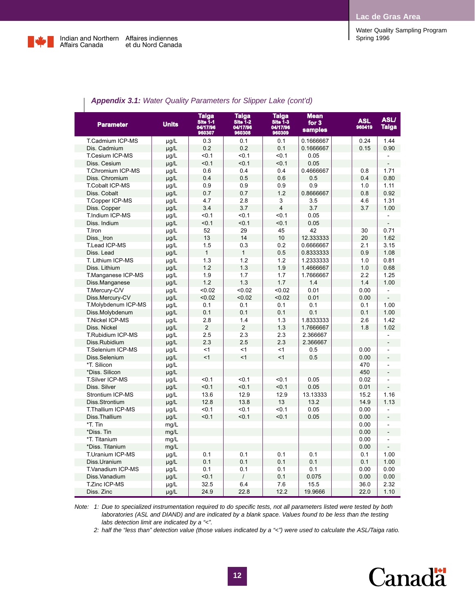Water Quality Sampling Program



| <b>Appenaix 3.1:</b> Water Quality Parameters for Slipper Lake (cont d) |              |                                         |                                         |                                                |                                          |                      |                             |
|-------------------------------------------------------------------------|--------------|-----------------------------------------|-----------------------------------------|------------------------------------------------|------------------------------------------|----------------------|-----------------------------|
| <b>Parameter</b>                                                        | <b>Units</b> | Taiga<br>Site 1-1<br>04/17/96<br>960307 | Taiga<br>Site 1-2<br>04/17/96<br>960308 | <b>Taiga</b><br>Site 1-3<br>04/17/96<br>960309 | <b>Mean</b><br>for $3$<br><b>samples</b> | <b>ASL</b><br>960419 | <b>ASLI</b><br><b>Taiga</b> |
| T.Cadmium ICP-MS                                                        | µg/L         | 0.3                                     | 0.1                                     | 0.1                                            | 0.1666667                                | 0.24                 | 1.44                        |
| Dis. Cadmium                                                            | µg/L         | 0.2                                     | 0.2                                     | 0.1                                            | 0.1666667                                | 0.15                 | 0.90                        |
| T.Cesium ICP-MS                                                         | µg/L         | $0.1$                                   | < 0.1                                   | < 0.1                                          | 0.05                                     |                      |                             |
| Diss. Cesium                                                            | µg/L         | < 0.1                                   | < 0.1                                   | < 0.1                                          | 0.05                                     |                      | $\blacksquare$              |
| T.Chromium ICP-MS                                                       | µg/L         | 0.6                                     | 0.4                                     | 0.4                                            | 0.4666667                                | 0.8                  | 1.71                        |
| Diss. Chromium                                                          | µg/L         | 0.4                                     | 0.5                                     | 0.6                                            | 0.5                                      | 0.4                  | 0.80                        |
| <b>T.Cobalt ICP-MS</b>                                                  | µg/L         | 0.9                                     | 0.9                                     | 0.9                                            | 0.9                                      | 1.0                  | 1.11                        |
| Diss. Cobalt                                                            | µg/L         | 0.7                                     | 0.7                                     | 1.2                                            | 0.8666667                                | 0.8                  | 0.92                        |
| T.Copper ICP-MS                                                         | µg/L         | 4.7                                     | 2.8                                     | 3                                              | 3.5                                      | 4.6                  | 1.31                        |
| Diss. Copper                                                            | µg/L         | 3.4                                     | 3.7                                     | $\overline{4}$                                 | 3.7                                      | 3.7                  | 1.00                        |
| T.Indium ICP-MS                                                         | µg/L         | < 0.1                                   | < 0.1                                   | < 0.1                                          | 0.05                                     |                      | $\overline{a}$              |
| Diss. Indium                                                            | µg/L         | < 0.1                                   | < 0.1                                   | < 0.1                                          | 0.05                                     |                      |                             |
| T.Iron                                                                  | µg/L         | 52                                      | 29                                      | 45                                             | 42                                       | 30                   | 0.71                        |
| Diss. Iron                                                              | µg/L         | 13                                      | 14                                      | 10                                             | 12.333333                                | 20                   | 1.62                        |
| T.Lead ICP-MS                                                           | µg/L         | 1.5                                     | 0.3                                     | 0.2                                            | 0.6666667                                | 2.1                  | 3.15                        |
| Diss. Lead                                                              | µg/L         | $\mathbf{1}$                            | $\mathbf{1}$                            | 0.5                                            | 0.8333333                                | 0.9                  | 1.08                        |
| T. Lithium ICP-MS                                                       | µg/L         | 1.3                                     | 1.2                                     | 1.2                                            | 1.2333333                                | 1.0                  | 0.81                        |
| Diss. Lithium                                                           | µg/L         | 1.2                                     | 1.3                                     | 1.9                                            | 1.4666667                                | 1.0                  | 0.68                        |
| T.Manganese ICP-MS                                                      | µg/L         | 1.9                                     | 1.7                                     | 1.7                                            | 1.7666667                                | 2.2                  | 1.25                        |
| Diss.Manganese                                                          | µg/L         | 1.2                                     | 1.3                                     | 1.7                                            | 1.4                                      | 1.4                  | 1.00                        |
| T.Mercury-C/V                                                           | µg/L         | < 0.02                                  | <0.02                                   | < 0.02                                         | 0.01                                     | 0.00                 | $\blacksquare$              |
| Diss.Mercury-CV                                                         | µg/L         | < 0.02                                  | < 0.02                                  | < 0.02                                         | 0.01                                     | 0.00                 |                             |
| T.Molybdenum ICP-MS                                                     | $\mu$ g/L    | 0.1                                     | 0.1                                     | 0.1                                            | 0.1                                      | 0.1                  | 1.00                        |
| Diss.Molybdenum                                                         | µg/L         | 0.1                                     | 0.1                                     | 0.1                                            | 0.1                                      | 0.1                  | 1.00                        |
| <b>T.Nickel ICP-MS</b>                                                  | µg/L         | 2.8                                     | 1.4                                     | 1.3                                            | 1.8333333                                | 2.6                  | 1.42                        |
| Diss. Nickel                                                            | µg/L         | $\overline{2}$                          | $\overline{2}$                          | 1.3                                            | 1.7666667                                | 1.8                  | 1.02                        |
| T.Rubidium ICP-MS                                                       | µg/L         | 2.5                                     | 2.3                                     | 2.3                                            | 2.366667                                 |                      |                             |
| Diss.Rubidium                                                           | $\mu$ g/L    | 2.3                                     | 2.5                                     | 2.3                                            | 2.366667                                 |                      | $\overline{a}$              |
| <b>T.Selenium ICP-MS</b>                                                | µg/L         | < 1                                     | < 1                                     | $\leq$ 1                                       | 0.5                                      | 0.00                 |                             |
| Diss.Selenium                                                           | $\mu$ g/L    | <1                                      | <1                                      | $\leq$ 1                                       | 0.5                                      | 0.00                 | $\overline{a}$              |
| *T. Silicon                                                             | µg/L         |                                         |                                         |                                                |                                          | 470                  | $\overline{a}$              |
| *Diss. Silicon                                                          | µg/L         |                                         |                                         |                                                |                                          | 450                  |                             |
| <b>T.Silver ICP-MS</b>                                                  | µg/L         | 50.1                                    | < 0.1                                   | < 0.1                                          | 0.05                                     | 0.02                 | $\overline{a}$              |
| Diss. Silver                                                            | µg/L         | < 0.1                                   | < 0.1                                   | < 0.1                                          | 0.05                                     | 0.01                 | $\overline{a}$              |
| Strontium ICP-MS                                                        | µg/L         | 13.6                                    | 12.9                                    | 12.9                                           | 13.13333                                 | 15.2                 | 1.16                        |
| Diss.Strontium                                                          | µg/L         | 12.8                                    | 13.8                                    | 13                                             | 13.2                                     | 14.9                 | 1.13                        |
| T.Thallium ICP-MS                                                       | µg/L         | < 0.1                                   | < 0.1                                   | < 0.1                                          | 0.05                                     | 0.00                 |                             |
| Diss.Thallium                                                           | µg/L         | < 0.1                                   | < 0.1                                   | < 0.1                                          | 0.05                                     | 0.00                 |                             |
| *T. Tin                                                                 | mg/L         |                                         |                                         |                                                |                                          | 0.00                 |                             |
| *Diss. Tin                                                              | mg/L         |                                         |                                         |                                                |                                          | 0.00                 | $\overline{a}$              |
| *T. Titanium                                                            | mg/L         |                                         |                                         |                                                |                                          | 0.00                 | -                           |
| *Diss. Titanium                                                         | mg/L         |                                         |                                         |                                                |                                          | 0.00                 | $\blacksquare$              |
| T.Uranium ICP-MS                                                        | µg/L         | 0.1                                     | 0.1                                     | 0.1                                            | 0.1                                      | 0.1                  | 1.00                        |
| Diss.Uranium                                                            | µg/L         | 0.1                                     | 0.1                                     | 0.1                                            | 0.1                                      | 0.1                  | 1.00                        |
| T.Vanadium ICP-MS                                                       | µg/L         | 0.1                                     | 0.1                                     | 0.1                                            | 0.1                                      | 0.00                 | 0.00                        |
| Diss.Vanadium                                                           | µg/L         | < 0.1                                   | $\prime$                                | 0.1                                            | 0.075                                    | 0.00                 | 0.00                        |
| T.Zinc ICP-MS                                                           | $\mu$ g/L    | 32.5                                    | 6.4                                     | 7.6                                            | 15.5                                     | 36.0                 | 2.32                        |
| Diss. Zinc                                                              | µg/L         | 24.9                                    | 22.8                                    | 12.2                                           | 19.9666                                  | 22.0                 | 1.10                        |
|                                                                         |              |                                         |                                         |                                                |                                          |                      |                             |

### *Appendix 3.1: Water Quality Parameters for Slipper Lake (cont'd)*

*Note: 1: Due to specialized instrumentation required to do specific tests, not all parameters listed were tested by both laboratories (ASL and DIAND) and are indicated by a blank space. Values found to be less than the testing labs detection limit are indicated by a "<".*

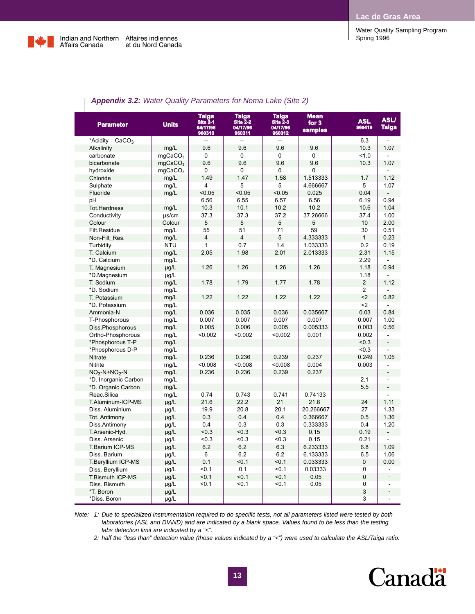Water Quality Sampling Program



L

| <b>Parameter</b>              | <b>Units</b>        | <b>Taiga</b><br><b>Site 2-1</b><br>04/17/96<br>960310 | <b>Taiga</b><br><b>Site 2-2</b><br>04/17/96<br>960311 | <b>Taiga</b><br><b>Site 2-3</b><br>04/17/96<br>960312 | <b>Mean</b><br>for $3$<br>samples | <b>ASL</b><br>960419 | <b>ASLI</b><br><b>Taiga</b> |
|-------------------------------|---------------------|-------------------------------------------------------|-------------------------------------------------------|-------------------------------------------------------|-----------------------------------|----------------------|-----------------------------|
| *Acidity<br>CaCO <sub>3</sub> |                     |                                                       |                                                       | $\overline{a}$                                        |                                   | 6.3                  | $\overline{a}$              |
| Alkalinity                    | mq/L                | 9.6                                                   | 9.6                                                   | 9.6                                                   | 9.6                               | 10.3                 | 1.07                        |
| carbonate                     | mgCaCO <sub>3</sub> | 0                                                     | 0                                                     | 0                                                     | 0                                 | 1.0                  |                             |
| bicarbonate                   | mgCaCO <sub>3</sub> | 9.6                                                   | 9.6                                                   | 9.6                                                   | 9.6                               | 10.3                 | 1.07                        |
| hydroxide                     | mqCaCO <sub>3</sub> | 0                                                     | 0                                                     | 0                                                     | 0                                 |                      |                             |
| Chloride                      | mg/L                | 1.49                                                  | 1.47                                                  | 1.58                                                  | 1.513333                          | 1.7                  | 1.12                        |
| Sulphate                      | mg/L                | $\overline{4}$                                        | 5                                                     | 5                                                     | 4.666667                          | 5                    | 1.07                        |
| Fluoride                      | mg/L                | < 0.05                                                | < 0.05                                                | < 0.05                                                | 0.025                             | 0.04                 |                             |
| рH                            |                     | 6.56                                                  | 6.55                                                  | 6.57                                                  | 6.56                              | 6.19                 | 0.94                        |
| <b>Tot.Hardness</b>           | mg/L                | 10.3                                                  | 10.1                                                  | 10.2                                                  | 10.2                              | 10.6                 | 1.04                        |
| Conductivity                  | $\mu$ s/cm          | 37.3                                                  | 37.3                                                  | 37.2                                                  | 37.26666                          | 37.4                 | 1.00                        |
| Colour                        | Colour              | 5                                                     | 5                                                     | 5                                                     | 5                                 | 10                   | 2.00                        |
| Filt.Residue                  | mg/L                | 55                                                    | 51                                                    | 71                                                    | 59                                | 30                   | 0.51                        |
| Non-Filt Res.                 | mg/L                | $\overline{4}$                                        | $\overline{4}$                                        | 5                                                     | 4.333333                          | $\mathbf{1}$         | 0.23                        |
| Turbidity                     | <b>NTU</b>          | $\mathbf{1}$                                          | 0.7                                                   | 1.4                                                   | 1.033333                          | 0.2                  | 0.19                        |
| T. Calcium                    | mg/L                | 2.05                                                  | 1.98                                                  | 2.01                                                  | 2.013333                          | 2.31                 | 1.15                        |
| *D. Calcium                   | mg/L                |                                                       |                                                       |                                                       |                                   | 2.29                 | $\blacksquare$              |
| T. Magnesium                  | $\mu$ g/L           | 1.26                                                  | 1.26                                                  | 1.26                                                  | 1.26                              | 1.18                 | 0.94                        |
| *D.Magnesium                  | µg/L                |                                                       |                                                       |                                                       |                                   | 1.18                 |                             |
| T. Sodium                     | mg/L                | 1.78                                                  | 1.79                                                  | 1.77                                                  | 1.78                              | $\overline{2}$       | 1.12                        |
| *D. Sodium                    | mg/L                |                                                       |                                                       |                                                       |                                   | $\overline{2}$       |                             |
| T. Potassium                  | mq/L                | 1.22                                                  | 1.22                                                  | 1.22                                                  | 1.22                              | $2$                  | 0.82                        |
| *D. Potassium                 | mg/L                |                                                       |                                                       |                                                       |                                   | $2$                  |                             |
| Ammonia-N                     | mg/L                | 0.036                                                 | 0.035                                                 | 0.036                                                 | 0.035667                          | 0.03                 | 0.84                        |
| T-Phosphorous                 | mg/L                | 0.007                                                 | 0.007                                                 | 0.007                                                 | 0.007                             | 0.007                | 1.00                        |
| Diss.Phosphorous              | mg/L                | 0.005                                                 | 0.006                                                 | 0.005                                                 | 0.005333                          | 0.003                | 0.56                        |
| Ortho-Phosphorous             | mg/L                | < 0.002                                               | < 0.002                                               | < 0.002                                               | 0.001                             | 0.002                | $\overline{\phantom{a}}$    |
| *Phosphorous T-P              | mg/L                |                                                       |                                                       |                                                       |                                   | < 0.3                | $\blacksquare$              |
| *Phosphorous D-P              | mg/L                |                                                       |                                                       |                                                       |                                   | < 0.3                |                             |
| Nitrate                       | mg/L                | 0.236                                                 | 0.236                                                 | 0.239                                                 | 0.237                             | 0.249                | 1.05                        |
| Nitrite                       | mg/L                | < 0.008                                               | < 0.008                                               | < 0.008                                               | 0.004                             | 0.003                | $\overline{a}$              |
| $NO3-N+NO2-N$                 | mg/L                | 0.236                                                 | 0.236                                                 | 0.239                                                 | 0.237                             |                      | $\overline{a}$              |
| *D. Inorganic Carbon          | mg/L                |                                                       |                                                       |                                                       |                                   | 2.1                  | $\blacksquare$              |
| *D. Organic Carbon            | mg/L                |                                                       |                                                       |                                                       |                                   | 5.5                  | $\frac{1}{2}$               |
| Reac.Silica                   | mg/L                | 0.74                                                  | 0.743                                                 | 0.741                                                 | 0.74133                           |                      |                             |
| T.Aluminum-ICP-MS             | $\mu$ g/L           | 21.6                                                  | 22.2                                                  | 21                                                    | 21.6                              | 24                   | 1.11                        |
| Diss. Aluminium               | $\mu$ g/L           | 19.9                                                  | 20.8                                                  | 20.1                                                  | 20.266667                         | 27                   | 1.33                        |
| Tot. Antimony                 | µg/L                | 0.3                                                   | 0.4                                                   | 0.4                                                   | 0.366667                          | 0.5                  | 1.36                        |
| Diss.Antimony                 | µg/L                | 0.4                                                   | 0.3                                                   | 0.3                                                   | 0.333333                          | 0.4                  | 1.20                        |
| T.Arsenic-Hyd.                | $\mu$ g/L           | < 0.3                                                 | < 0.3                                                 | < 0.3                                                 | 0.15                              | 0.19                 | $\frac{1}{2}$               |
| Diss. Arsenic                 | $\mu$ g/L           | < 0.3                                                 | < 0.3                                                 | < 0.3                                                 | 0.15                              | 0.21                 |                             |
| T.Barium ICP-MS               | µg/L                | 6.2                                                   | 6.2                                                   | 6.3                                                   | 6.233333                          | 6.8                  | 1.09                        |
| Diss. Barium                  | µg/L                | 6                                                     | 6.2                                                   | 6.2                                                   | 6.133333                          | 6.5                  | 1.06                        |
| T.Beryllium ICP-MS            | µg/L                | 0.1                                                   | < 0.1                                                 | < 0.1                                                 | 0.033333                          | $\mathbf 0$          | 0.00                        |
| Diss. Beryllium               | µg/L                | < 0.1                                                 | 0.1                                                   | < 0.1                                                 | 0.03333                           | $\Omega$             |                             |
| T.Bismuth ICP-MS              | $\mu$ g/L           | < 0.1                                                 | < 0.1                                                 | < 0.1                                                 | 0.05                              | $\mathbf 0$          |                             |
| Diss. Bismuth                 | $\mu$ g/L           | < 0.1                                                 | < 0.1                                                 | < 0.1                                                 | 0.05                              | 0                    |                             |
| *T. Boron                     | µg/L                |                                                       |                                                       |                                                       |                                   | 3                    |                             |
| *Diss. Boron                  | $\mu$ g/L           |                                                       |                                                       |                                                       |                                   | 3                    | -                           |

### *Appendix 3.2: Water Quality Parameters for Nema Lake (Site 2)*

*Note: 1: Due to specialized instrumentation required to do specific tests, not all parameters listed were tested by both laboratories (ASL and DIAND) and are indicated by a blank space. Values found to be less than the testing labs detection limit are indicated by a "<".*

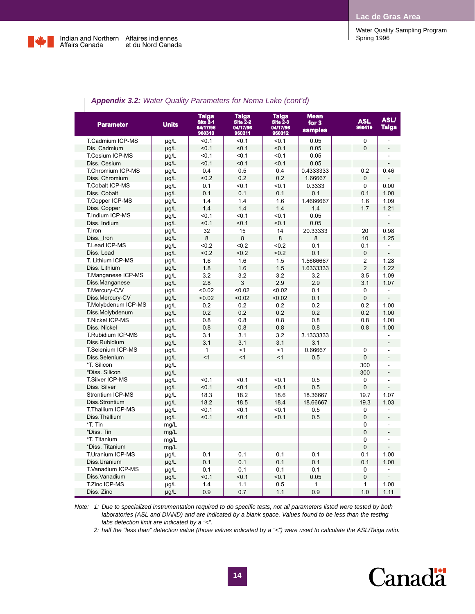

| <b>Parameter</b>         | <b>Units</b> | Taiga<br>Site 2-1<br>04/17/96 | Taiga<br>Site 2-2<br>04/17/96 | <b>Taiga</b><br>$S$ Ite $2-3$<br>04/17/96 | <b>Mean</b><br>for $3$<br><b>samples</b> | <b>ASL</b><br>960419 | <b>ASLI</b><br>Taiga |
|--------------------------|--------------|-------------------------------|-------------------------------|-------------------------------------------|------------------------------------------|----------------------|----------------------|
|                          |              | 960310                        | 960311                        | 960312                                    |                                          |                      |                      |
| T.Cadmium ICP-MS         | µg/L         | $0.1$                         | < 0.1                         | < 0.1                                     | 0.05                                     | $\mathbf 0$          | L.                   |
| Dis. Cadmium             | $\mu$ g/L    | < 0.1                         | < 0.1                         | < 0.1                                     | 0.05                                     | $\overline{0}$       |                      |
| T.Cesium ICP-MS          | µg/L         | $0.1$                         | < 0.1                         | < 0.1                                     | 0.05                                     |                      |                      |
| Diss. Cesium             | $\mu$ g/L    | < 0.1                         | < 0.1                         | < 0.1                                     | 0.05                                     |                      |                      |
| T.Chromium ICP-MS        | $\mu$ g/L    | 0.4                           | 0.5                           | 0.4                                       | 0.4333333                                | 0.2                  | 0.46                 |
| Diss. Chromium           | µg/L         | < 0.2                         | 0.2                           | 0.2                                       | 1.66667                                  | 0                    |                      |
| <b>T.Cobalt ICP-MS</b>   | µg/L         | 0.1                           | $0.1$                         | < 0.1                                     | 0.3333                                   | $\mathbf 0$          | 0.00                 |
| Diss. Cobalt             | µg/L         | 0.1                           | 0.1                           | 0.1                                       | 0.1                                      | 0.1                  | 1.00                 |
| T.Copper ICP-MS          | $\mu$ g/L    | 1.4                           | 1.4                           | 1.6                                       | 1.4666667                                | 1.6                  | 1.09                 |
| Diss. Copper             | µg/L         | 1.4                           | 1.4                           | 1.4                                       | 1.4                                      | 1.7                  | 1.21                 |
| T.Indium ICP-MS          | $\mu$ g/L    | $0.1$                         | $0.1$                         | < 0.1                                     | 0.05                                     |                      |                      |
| Diss. Indium             | µg/L         | $0.1$                         | < 0.1                         | < 0.1                                     | 0.05                                     |                      |                      |
| T.Iron                   | µg/L         | 32                            | 15                            | 14                                        | 20.33333                                 | 20                   | 0.98                 |
| Diss. Iron               | µg/L         | 8                             | 8                             | 8                                         | 8                                        | 10                   | 1.25                 |
| T.Lead ICP-MS            | µg/L         | < 0.2                         | < 0.2                         | < 0.2                                     | 0.1                                      | 0.1                  |                      |
| Diss. Lead               | $\mu$ g/L    | < 0.2                         | < 0.2                         | < 0.2                                     | 0.1                                      | 0                    |                      |
| T. Lithium ICP-MS        | µg/L         | 1.6                           | 1.6                           | 1.5                                       | 1.5666667                                | 2                    | 1.28                 |
| Diss. Lithium            | µg/L         | 1.8                           | 1.6                           | 1.5                                       | 1.6333333                                | $\overline{2}$       | 1.22                 |
| T.Manganese ICP-MS       | µg/L         | 3.2                           | 3.2                           | 3.2                                       | 3.2                                      | 3.5                  | 1.09                 |
| Diss.Manganese           | µg/L         | 2.8                           | 3                             | 2.9                                       | 2.9                                      | 3.1                  | 1.07                 |
| T.Mercury-C/V            | µg/L         | < 0.02                        | < 0.02                        | < 0.02                                    | 0.1                                      | 0                    |                      |
| Diss.Mercury-CV          | µg/L         | < 0.02                        | < 0.02                        | < 0.02                                    | 0.1                                      | $\mathbf 0$          |                      |
| T.Molybdenum ICP-MS      | $\mu$ g/L    | 0.2                           | 0.2                           | 0.2                                       | 0.2                                      | 0.2                  | 1.00                 |
| Diss.Molybdenum          | $\mu g/L$    | 0.2                           | 0.2                           | 0.2                                       | 0.2                                      | 0.2                  | 1.00                 |
| <b>T.Nickel ICP-MS</b>   | µg/L         | 0.8                           | 0.8                           | 0.8                                       | 0.8                                      | 0.8                  | 1.00                 |
| Diss. Nickel             | µg/L         | 0.8                           | 0.8                           | 0.8                                       | 0.8                                      | 0.8                  | 1.00                 |
| T.Rubidium ICP-MS        | $\mu$ g/L    | 3.1                           | 3.1                           | 3.2                                       | 3.1333333                                |                      |                      |
| Diss.Rubidium            | $\mu$ g/L    | 3.1                           | 3.1                           | 3.1                                       | 3.1                                      |                      |                      |
| <b>T.Selenium ICP-MS</b> | µg/L         | 1                             | $\leq$ 1                      | $<$ 1                                     | 0.66667                                  | $\mathbf 0$          |                      |
| Diss.Selenium            | µg/L         | <1                            | $\leq$ 1                      | < 1                                       | 0.5                                      | 0                    |                      |
| *T. Silicon              | µg/L         |                               |                               |                                           |                                          | 300                  | L.                   |
| *Diss. Silicon           | µg/L         |                               |                               |                                           |                                          | 300                  |                      |
| <b>T.Silver ICP-MS</b>   | $\mu$ g/L    | $0.1$                         | < 0.1                         | $0.1$                                     | 0.5                                      | $\mathbf 0$          | $\overline{a}$       |
| Diss. Silver             | $\mu$ g/L    | < 0.1                         | < 0.1                         | < 0.1                                     | 0.5                                      | $\overline{0}$       |                      |
| Strontium ICP-MS         | $\mu$ g/L    | 18.3                          | 18.2                          | 18.6                                      | 18.36667                                 | 19.7                 | 1.07                 |
| Diss.Strontium           | µg/L         | 18.2                          | 18.5                          | 18.4                                      | 18.66667                                 | 19.3                 | 1.03                 |
| T.Thallium ICP-MS        | µg/L         | $0.1$                         | < 0.1                         | $0.1$                                     | 0.5                                      | 0                    |                      |
| Diss.Thallium            | $\mu$ g/L    | < 0.1                         | < 0.1                         | < 0.1                                     | 0.5                                      | $\mathbf 0$          |                      |
| *T. Tin                  | mg/L         |                               |                               |                                           |                                          | 0                    | ÷                    |
| *Diss. Tin               | mg/L         |                               |                               |                                           |                                          | $\mathbf 0$          |                      |
| *T. Titanium             | mg/L         |                               |                               |                                           |                                          | 0                    |                      |
| *Diss. Titanium          | mg/L         |                               |                               |                                           |                                          | 0                    |                      |
| T.Uranium ICP-MS         | $\mu$ g/L    | 0.1                           | 0.1                           | 0.1                                       | 0.1                                      | 0.1                  | 1.00                 |
| Diss.Uranium             | $\mu$ g/L    | 0.1                           | 0.1                           | 0.1                                       | 0.1                                      | 0.1                  | 1.00                 |
| T.Vanadium ICP-MS        | $\mu$ g/L    | 0.1                           | 0.1                           | 0.1                                       | 0.1                                      | $\mathbf 0$          |                      |
| Diss. Vanadium           | $\mu$ g/L    | < 0.1                         | < 0.1                         | < 0.1                                     | 0.05                                     | $\overline{0}$       |                      |
| T.Zinc ICP-MS            | $\mu$ g/L    | 1.4                           | 1.1                           | 0.5                                       | $\mathbf{1}$                             | 1                    | 1.00                 |
| Diss. Zinc               | µg/L         | 0.9                           | 0.7                           | 1.1                                       | 0.9                                      | 1.0                  | 1.11                 |
|                          |              |                               |                               |                                           |                                          |                      |                      |

#### *Appendix 3.2: Water Quality Parameters for Nema Lake (cont'd)*

*Note: 1: Due to specialized instrumentation required to do specific tests, not all parameters listed were tested by both laboratories (ASL and DIAND) and are indicated by a blank space. Values found to be less than the testing labs detection limit are indicated by a "<".*

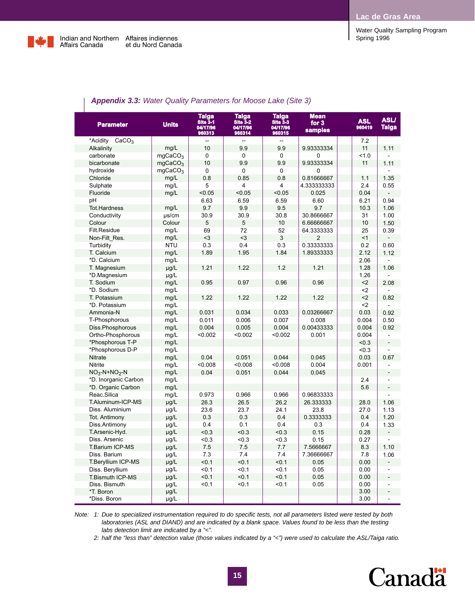Water Quality Sampling Program



| <b>Parameter</b>              | <b>Units</b>        | Taiga<br>Site 3-1<br>04/17/96<br>960313 | Taiga<br>Site 3-2<br>04/17/96<br>960314 | <b>Taiga</b><br>$S$ Ite $3-3$<br>04/17/96<br>960315 | <b>Mean</b><br>for $3$<br><b>samples</b> | <b>ASL</b><br>960419 | <b>ASLI</b><br>Taiga     |
|-------------------------------|---------------------|-----------------------------------------|-----------------------------------------|-----------------------------------------------------|------------------------------------------|----------------------|--------------------------|
| *Acidity<br>CaCO <sub>3</sub> |                     | $\overline{a}$                          | $\overline{a}$                          | $\overline{a}$                                      |                                          | 7.2                  |                          |
| Alkalinity                    | mg/L                | 10                                      | 9.9                                     | 9.9                                                 | 9.93333334                               | 11                   | 1.11                     |
| carbonate                     | mqCaCO <sub>3</sub> | $\Omega$                                | $\Omega$                                | 0                                                   | $\Omega$                                 | 1.0                  |                          |
| bicarbonate                   | mqCaCO <sub>3</sub> | 10                                      | 9.9                                     | 9.9                                                 | 9.93333334                               | 11                   | 1.11                     |
| hydroxide                     | mgCaCO <sub>3</sub> | $\overline{0}$                          | $\overline{0}$                          | $\Omega$                                            | 0                                        |                      |                          |
| Chloride                      | mg/L                | 0.8                                     | 0.85                                    | 0.8                                                 | 0.81666667                               | 1.1                  | 1.35                     |
| Sulphate                      | mg/L                | 5                                       | 4                                       | $\overline{4}$                                      | 4.333333333                              | 2.4                  | 0.55                     |
| Fluoride                      | mg/L                | < 0.05                                  | < 0.05                                  | < 0.05                                              | 0.025                                    | 0.04                 |                          |
| pH                            |                     | 6.63                                    | 6.59                                    | 6.59                                                | 6.60                                     | 6.21                 | 0.94                     |
| <b>Tot.Hardness</b>           | mg/L                | 9.7                                     | 9.9                                     | 9.5                                                 | 9.7                                      | 10.3                 | 1.06                     |
| Conductivity                  | $\mu$ s/cm          | 30.9                                    | 30.9                                    | 30.8                                                | 30.8666667                               | 31                   | 1.00                     |
| Colour                        | Colour              | 5                                       | 5                                       | 10                                                  | 6.66666667                               | 10                   | 1.50                     |
| Filt.Residue                  | mg/L                | 69                                      | 72                                      | 52                                                  | 64.3333333                               | 25                   | 0.39                     |
| Non-Filt Res.                 | mg/L                | $3$                                     | $3$                                     | 3                                                   | $\overline{2}$                           | < 1                  |                          |
| Turbidity                     | <b>NTU</b>          | 0.3                                     | 0.4                                     | 0.3                                                 | 0.33333333                               | 0.2                  | 0.60                     |
| T. Calcium                    | mq/L                | 1.89                                    | 1.95                                    | 1.84                                                | 1.89333333                               | 2.12                 | 1.12                     |
| *D. Calcium                   | mg/L                |                                         |                                         |                                                     |                                          | 2.06                 |                          |
| T. Magnesium                  | µg/L                | 1.21                                    | 1.22                                    | 1.2                                                 | 1.21                                     | 1.28                 | 1.06                     |
| *D.Magnesium                  | $\mu$ g/L           |                                         |                                         |                                                     |                                          | 1.26                 |                          |
| T. Sodium                     | mg/L                | 0.95                                    | 0.97                                    | 0.96                                                | 0.96                                     | $2$                  | 2.08                     |
| *D. Sodium                    | mg/L                |                                         |                                         |                                                     |                                          | $2$                  |                          |
| T. Potassium                  | mg/L                | 1.22                                    | 1.22                                    | 1.22                                                | 1.22                                     | $2$                  | 0.82                     |
| *D. Potassium                 | mg/L                |                                         |                                         |                                                     |                                          | $2$                  |                          |
| Ammonia-N                     | mg/L                | 0.031                                   | 0.034                                   | 0.033                                               | 0.03266667                               | 0.03                 | 0.92                     |
| T-Phosphorous                 | mg/L                | 0.011                                   | 0.006                                   | 0.007                                               | 0.008                                    | 0.004                | 0.50                     |
| Diss.Phosphorous              | mg/L                | 0.004                                   | 0.005                                   | 0.004                                               | 0.00433333                               | 0.004                | 0.92                     |
| Ortho-Phosphorous             | mg/L                | < 0.002                                 | < 0.002                                 | < 0.002                                             | 0.001                                    | 0.004                | ä,                       |
| *Phosphorous T-P              | mg/L                |                                         |                                         |                                                     |                                          | < 0.3                | $\overline{a}$           |
| *Phosphorous D-P              | mg/L                |                                         |                                         |                                                     |                                          | < 0.3                |                          |
| <b>Nitrate</b>                | mg/L                | 0.04                                    | 0.051                                   | 0.044                                               | 0.045                                    | 0.03                 | 0.67                     |
| Nitrite                       | mg/L                | < 0.008                                 | < 0.008                                 | < 0.008                                             | 0.004                                    | 0.001                |                          |
| $NO3-N+NO2-N$                 | mg/L                | 0.04                                    | 0.051                                   | 0.044                                               | 0.045                                    |                      | $\overline{a}$           |
| *D. Inorganic Carbon          | mg/L                |                                         |                                         |                                                     |                                          | 2.4                  |                          |
| *D. Organic Carbon            | mg/L                |                                         |                                         |                                                     |                                          | 5.6                  |                          |
| Reac.Silica                   | mg/L                | 0.973                                   | 0.966                                   | 0.966                                               | 0.96833333                               |                      |                          |
| T.Aluminum-ICP-MS             | $\mu$ g/L           | 26.3                                    | 26.5                                    | 26.2                                                | 26.333333                                | 28.0                 | 1.06                     |
| Diss. Aluminium               | $\mu$ g/L           | 23.6                                    | 23.7                                    | 24.1                                                | 23.8                                     | 27.0                 | 1.13                     |
| Tot. Antimony                 | µg/L                | 0.3                                     | 0.3                                     | 0.4                                                 | 0.3333333                                | 0.4                  | 1.20                     |
| Diss.Antimony                 | µg/L                | 0.4                                     | 0.1                                     | 0.4                                                 | 0.3                                      | 0.4                  | 1.33                     |
| T.Arsenic-Hyd.                | $\mu$ g/L           | < 0.3                                   | < 0.3                                   | &0.3                                                | 0.15                                     | 0.28                 |                          |
| Diss. Arsenic                 | $\mu$ g/L           | < 0.3                                   | < 0.3                                   | <0.3                                                | 0.15                                     | 0.27                 |                          |
| T.Barium ICP-MS               | µg/L                | 7.5                                     | 7.5                                     | 7.7                                                 | 7.5666667                                | 8.3                  | 1.10                     |
| Diss. Barium                  | µg/L                | 7.3                                     | 7.4                                     | 7.4                                                 | 7.36666667                               | 7.8                  | 1.06                     |
| T.Beryllium ICP-MS            | µg/L                | < 0.1                                   | < 0.1                                   | < 0.1                                               | 0.05                                     | 0.00                 |                          |
| Diss. Beryllium               | $\mu$ g/L           | < 0.1                                   | < 0.1                                   | $0.1$                                               | 0.05                                     | 0.00                 |                          |
| T.Bismuth ICP-MS              | µg/L                | < 0.1                                   | < 0.1                                   | < 0.1                                               | 0.05                                     | 0.00                 | $\overline{a}$           |
| Diss. Bismuth                 | µg/L                | < 0.1                                   | < 0.1                                   | $0.1$                                               | 0.05                                     | 0.00                 |                          |
| *T. Boron                     | µg/L                |                                         |                                         |                                                     |                                          | 3.00                 | $\overline{\phantom{a}}$ |
| *Diss. Boron                  | $\mu$ g/L           |                                         |                                         |                                                     |                                          | 3.00                 | ÷,                       |

### *Appendix 3.3: Water Quality Parameters for Moose Lake (Site 3)*

*Note: 1: Due to specialized instrumentation required to do specific tests, not all parameters listed were tested by both laboratories (ASL and DIAND) and are indicated by a blank space. Values found to be less than the testing labs detection limit are indicated by a "<".*

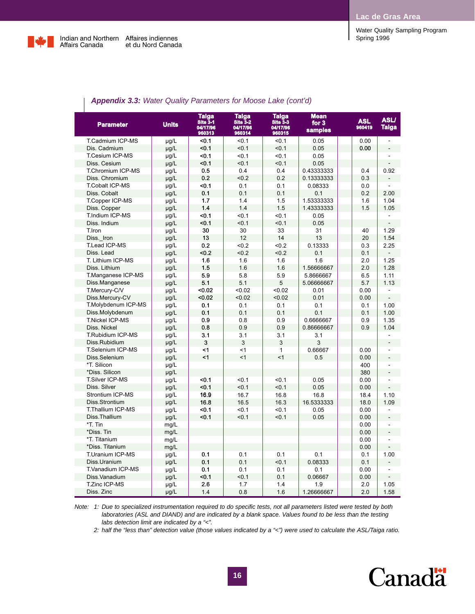

| <b>Parameter</b>       | <b>Units</b> | Taiga<br>Site 3-1<br>04/17/96<br>960313 | <b>Taiga</b><br>$Stte\,3-2$<br>04/17/96<br>960314 | <b>Taiga</b><br>$S$ Ite $3-3$<br>04/17/96<br>960315 | <b>Mean</b><br>for 3<br>samples | <b>ASL</b><br>960419 | <b>ASLI</b><br>Taiga     |
|------------------------|--------------|-----------------------------------------|---------------------------------------------------|-----------------------------------------------------|---------------------------------|----------------------|--------------------------|
| T.Cadmium ICP-MS       | $\mu$ g/L    | $0.1$                                   | < 0.1                                             | < 0.1                                               | 0.05                            | 0.00                 | ÷,                       |
| Dis. Cadmium           | µg/L         | < 0.1                                   | < 0.1                                             | < 0.1                                               | 0.05                            | 0.00                 |                          |
| <b>T.Cesium ICP-MS</b> | $\mu$ g/L    | < 0.1                                   | < 0.1                                             | < 0.1                                               | 0.05                            |                      |                          |
| Diss. Cesium           | µg/L         | < 0.1                                   | 50.1                                              | < 0.1                                               | 0.05                            |                      |                          |
| T.Chromium ICP-MS      | µg/L         | 0.5                                     | 0.4                                               | 0.4                                                 | 0.43333333                      | 0.4                  | 0.92                     |
| Diss. Chromium         | $\mu$ g/L    | 0.2                                     | < 0.2                                             | 0.2                                                 | 0.13333333                      | 0.3                  |                          |
| <b>T.Cobalt ICP-MS</b> | $\mu$ g/L    | $0.1$                                   | 0.1                                               | 0.1                                                 | 0.08333                         | 0.0                  |                          |
| Diss. Cobalt           | µg/L         | 0.1                                     | 0.1                                               | 0.1                                                 | 0.1                             | 0.2                  | 2.00                     |
| T.Copper ICP-MS        | $\mu$ g/L    | 1.7                                     | 1.4                                               | 1.5                                                 | 1.53333333                      | 1.6                  | 1.04                     |
| Diss. Copper           | $\mu$ g/L    | 1.4                                     | 1.4                                               | 1.5                                                 | 1.43333333                      | 1.5                  | 1.05                     |
| T.Indium ICP-MS        | µg/L         | $0.1$                                   | $0.1$                                             | < 0.1                                               | 0.05                            |                      |                          |
| Diss. Indium           | µg/L         | < 0.1                                   | < 0.1                                             | < 0.1                                               | 0.05                            |                      |                          |
| T.Iron                 | µg/L         | 30                                      | 30                                                | 33                                                  | 31                              | 40                   | 1.29                     |
| Diss. Iron             | µg/L         | 13                                      | 12                                                | 14                                                  | 13                              | 20                   | 1.54                     |
| <b>T.Lead ICP-MS</b>   | $\mu$ g/L    | 0.2                                     | < 0.2                                             | < 0.2                                               | 0.13333                         | 0.3                  | 2.25                     |
| Diss. Lead             | µg/L         | < 0.2                                   | < 0.2                                             | < 0.2                                               | 0.1                             | 0.1                  |                          |
| T. Lithium ICP-MS      | µg/L         | 1.6                                     | 1.6                                               | 1.6                                                 | 1.6                             | 2.0                  | 1.25                     |
| Diss. Lithium          | µg/L         | 1.5                                     | 1.6                                               | 1.6                                                 | 1.56666667                      | 2.0                  | 1.28                     |
| T.Manganese ICP-MS     | µg/L         | 5.9                                     | 5.8                                               | 5.9                                                 | 5.8666667                       | 6.5                  | 1.11                     |
| Diss.Manganese         | $\mu$ g/L    | 5.1                                     | 5.1                                               | 5                                                   | 5.06666667                      | 5.7                  | 1.13                     |
| T.Mercury-C/V          | $\mu$ g/L    | < 0.02                                  | < 0.02                                            | < 0.02                                              | 0.01                            | 0.00                 |                          |
| Diss.Mercury-CV        | $\mu$ g/L    | < 0.02                                  | < 0.02                                            | < 0.02                                              | 0.01                            | 0.00                 |                          |
| T.Molybdenum ICP-MS    | $\mu$ g/L    | 0.1                                     | 0.1                                               | 0.1                                                 | 0.1                             | 0.1                  | 1.00                     |
| Diss.Molybdenum        | µg/L         | 0.1                                     | 0.1                                               | 0.1                                                 | 0.1                             | 0.1                  | 1.00                     |
| <b>T.Nickel ICP-MS</b> | µg/L         | 0.9                                     | 0.8                                               | 0.9                                                 | 0.6666667                       | 0.9                  | 1.35                     |
| Diss. Nickel           | µg/L         | 0.8                                     | 0.9                                               | 0.9                                                 | 0.86666667                      | 0.9                  | 1.04                     |
| T.Rubidium ICP-MS      | $\mu$ g/L    | 3.1                                     | 3.1                                               | 3.1                                                 | 3.1                             |                      |                          |
| Diss.Rubidium          | $\mu$ g/L    | 3                                       | 3                                                 | 3                                                   | 3                               |                      |                          |
| T.Selenium ICP-MS      | µg/L         | <1                                      | $\leq$ 1                                          | $\mathbf{1}$                                        | 0.66667                         | 0.00                 | ÷                        |
| Diss.Selenium          | $\mu$ g/L    | <1                                      | $\leq$ 1                                          | $\leq$ 1                                            | 0.5                             | 0.00                 |                          |
| *T. Silicon            | µg/L         |                                         |                                                   |                                                     |                                 | 400                  |                          |
| *Diss. Silicon         | µg/L         |                                         |                                                   |                                                     |                                 | 380                  | $\overline{a}$           |
| <b>T.Silver ICP-MS</b> | µg/L         | < 0.1                                   | < 0.1                                             | < 0.1                                               | 0.05                            | 0.00                 |                          |
| Diss. Silver           | $\mu$ g/L    | < 0.1                                   | < 0.1                                             | < 0.1                                               | 0.05                            | 0.00                 |                          |
| Strontium ICP-MS       | µg/L         | 16.9                                    | 16.7                                              | 16.8                                                | 16.8                            | 18.4                 | 1.10                     |
| Diss.Strontium         | µg/L         | 16.8                                    | 16.5                                              | 16.3                                                | 16.5333333                      | 18.0                 | 1.09                     |
| T.Thallium ICP-MS      | $\mu$ g/L    | < 0.1                                   | < 0.1                                             | < 0.1                                               | 0.05                            | 0.00                 |                          |
| Diss.Thallium          | $\mu g/L$    | < 0.1                                   | < 0.1                                             | < 0.1                                               | 0.05                            | 0.00                 | $\overline{a}$           |
| *T. Tin                | mg/L         |                                         |                                                   |                                                     |                                 | 0.00                 | $\overline{\phantom{a}}$ |
| *Diss. Tin             | mg/L         |                                         |                                                   |                                                     |                                 | 0.00                 | $\overline{a}$           |
| *T. Titanium           | mg/L         |                                         |                                                   |                                                     |                                 | 0.00                 |                          |
| *Diss. Titanium        | mg/L         |                                         |                                                   |                                                     |                                 | 0.00                 |                          |
| T.Uranium ICP-MS       | $\mu$ g/L    | 0.1                                     | 0.1                                               | 0.1                                                 | 0.1                             | 0.1                  | 1.00                     |
| Diss.Uranium           |              | 0.1                                     | 0.1                                               | < 0.1                                               | 0.08333                         | 0.1                  |                          |
| T.Vanadium ICP-MS      | µg/L<br>µg/L | 0.1                                     | 0.1                                               | 0.1                                                 | 0.1                             | 0.00                 |                          |
| Diss. Vanadium         |              | <0.1                                    | $0.1$                                             | 0.1                                                 | 0.06667                         | 0.00                 |                          |
| T.Zinc ICP-MS          | µg/L         | 2.6                                     | 1.7                                               | 1.4                                                 | 1.9                             | 2.0                  | 1.05                     |
| Diss. Zinc             | µg/L         | 1.4                                     | 0.8                                               | 1.6                                                 | 1.26666667                      | 2.0                  | 1.58                     |
|                        | µg/L         |                                         |                                                   |                                                     |                                 |                      |                          |

### *Appendix 3.3: Water Quality Parameters for Moose Lake (cont'd)*

*Note: 1: Due to specialized instrumentation required to do specific tests, not all parameters listed were tested by both laboratories (ASL and DIAND) and are indicated by a blank space. Values found to be less than the testing labs detection limit are indicated by a "<".*

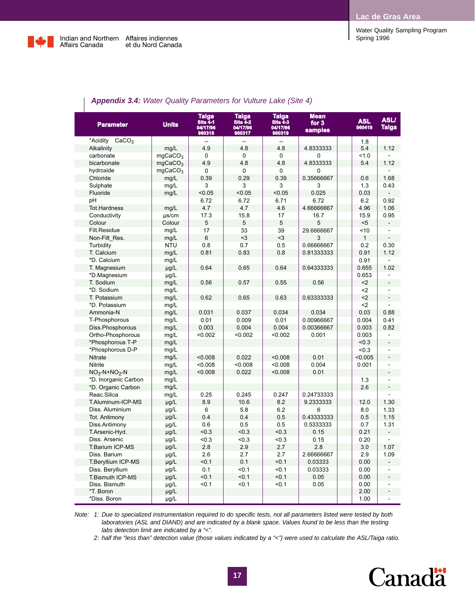Water Quality Sampling Program



L

| <b>Parameter</b>              | <b>Units</b>        | <b>Taiga</b><br><b>Site 4-1</b><br>04/17/96<br>960318 | <b>Taiga</b><br><b>Site 4-2</b><br>04/17/96<br>960317 | <b>Taiga</b><br><b>Site 4-3</b><br>04/17/96<br>960319 | <b>Mean</b><br>for $3$<br><b>samples</b> | <b>ASL</b><br>960419 | <b>ASLI</b><br><b>Taiga</b> |
|-------------------------------|---------------------|-------------------------------------------------------|-------------------------------------------------------|-------------------------------------------------------|------------------------------------------|----------------------|-----------------------------|
| *Acidity<br>CaCO <sub>3</sub> |                     |                                                       |                                                       |                                                       |                                          | 1.8                  |                             |
| Alkalinity                    | mg/L                | 4.9                                                   | 4.8                                                   | 4.8                                                   | 4.8333333                                | 5.4                  | 1.12                        |
| carbonate                     | mgCaCO <sub>3</sub> | 0                                                     | 0                                                     | 0                                                     | 0                                        | 1.0                  |                             |
| bicarbonate                   | mqCaCO <sub>3</sub> | 4.9                                                   | 4.8                                                   | 4.8                                                   | 4.8333333                                | 5.4                  | 1.12                        |
| hydroxide                     | mgCaCO <sub>3</sub> | $\Omega$                                              | 0                                                     | 0                                                     | 0                                        |                      |                             |
| Chloride                      | mg/L                | 0.39                                                  | 0.29                                                  | 0.39                                                  | 0.35666667                               | 0.6                  | 1.68                        |
| Sulphate                      | mg/L                | 3                                                     | 3                                                     | 3                                                     | 3                                        | 1.3                  | 0.43                        |
| Fluoride                      | mg/L                | < 0.05                                                | < 0.05                                                | < 0.05                                                | 0.025                                    | 0.03                 |                             |
| рH                            |                     | 6.72                                                  | 6.72                                                  | 6.71                                                  | 6.72                                     | 6.2                  | 0.92                        |
| <b>Tot.Hardness</b>           | mq/L                | 4.7                                                   | 4.7                                                   | 4.6                                                   | 4.66666667                               | 4.96                 | 1.06                        |
| Conductivity                  | $\mu$ s/cm          | 17.3                                                  | 15.8                                                  | 17                                                    | 16.7                                     | 15.9                 | 0.95                        |
| Colour                        | Colour              | 5                                                     | 5                                                     | 5                                                     | 5                                        | < 5                  | $\overline{\phantom{a}}$    |
| Filt.Residue                  | mg/L                | 17                                                    | 33                                                    | 39                                                    | 29.6666667                               | <10                  |                             |
| Non-Filt Res.                 | mg/L                | 6                                                     | $3$                                                   | $\leq$ 3                                              | 3                                        | $\mathbf{1}$         |                             |
| Turbidity                     | <b>NTU</b>          | 0.8                                                   | 0.7                                                   | 0.5                                                   | 0.66666667                               | 0.2                  | 0.30                        |
| T. Calcium                    | mg/L                | 0.81                                                  | 0.83                                                  | 0.8                                                   | 0.81333333                               | 0.91                 | 1.12                        |
| *D. Calcium                   | mg/L                |                                                       |                                                       |                                                       |                                          | 0.91                 |                             |
| T. Magnesium                  | $\mu$ g/L           | 0.64                                                  | 0.65                                                  | 0.64                                                  | 0.64333333                               | 0.655                | 1.02                        |
| *D.Magnesium                  | µg/L                |                                                       |                                                       |                                                       |                                          | 0.653                |                             |
| T. Sodium                     | mg/L                | 0.56                                                  | 0.57                                                  | 0.55                                                  | 0.56                                     | $2$                  | $\overline{a}$              |
| *D. Sodium                    | mg/L                |                                                       |                                                       |                                                       |                                          | $2$                  |                             |
| T. Potassium                  | mg/L                | 0.62                                                  | 0.65                                                  | 0.63                                                  | 0.63333333                               | $2$                  | $\overline{\phantom{a}}$    |
| *D. Potassium                 | mg/L                |                                                       |                                                       |                                                       |                                          | $2$                  |                             |
| Ammonia-N                     | mg/L                | 0.031                                                 | 0.037                                                 | 0.034                                                 | 0.034                                    | 0.03                 | 0.88                        |
| T-Phosphorous                 | mg/L                | 0.01                                                  | 0.009                                                 | 0.01                                                  | 0.00966667                               | 0.004                | 0.41                        |
| Diss.Phosphorous              | mg/L                | 0.003                                                 | 0.004                                                 | 0.004                                                 | 0.00366667                               | 0.003                | 0.82                        |
| Ortho-Phosphorous             | mg/L                | < 0.002                                               | < 0.002                                               | < 0.002                                               | 0.001                                    | 0.003                | $\overline{a}$              |
| *Phosphorous T-P              | mg/L                |                                                       |                                                       |                                                       |                                          | < 0.3                | $\overline{a}$              |
| *Phosphorous D-P              | mg/L                |                                                       |                                                       |                                                       |                                          | < 0.3                |                             |
| Nitrate                       | mg/L                | < 0.008                                               | 0.022                                                 | < 0.008                                               | 0.01                                     | < 0.005              | $\overline{a}$              |
| Nitrite                       | mg/L                | < 0.008                                               | < 0.008                                               | < 0.008                                               | 0.004                                    | 0.001                |                             |
| $NO3-N+NO2-N$                 | mg/L                | < 0.008                                               | 0.022                                                 | < 0.008                                               | 0.01                                     |                      | $\frac{1}{2}$               |
| *D. Inorganic Carbon          | mg/L                |                                                       |                                                       |                                                       |                                          | 1.3                  |                             |
| *D. Organic Carbon            | mg/L                |                                                       |                                                       |                                                       |                                          | 2.6                  | ÷,                          |
| Reac.Silica                   | mg/L                | 0.25                                                  | 0.245                                                 | 0.247                                                 | 0.24733333                               |                      |                             |
| T.Aluminum-ICP-MS             | µg/L                | 8.9                                                   | 10.6                                                  | 8.2                                                   | 9.2333333                                | 12.0                 | 1.30                        |
| Diss. Aluminium               | µg/L                | 6                                                     | 5.8                                                   | 6.2                                                   | 6                                        | 8.0                  | 1.33                        |
| Tot. Antimony                 | $\mu$ g/L           | 0.4                                                   | 0.4                                                   | 0.5                                                   | 0.43333333                               | 0.5                  | 1.15                        |
| Diss.Antimony                 | $\mu$ g/L           | 0.6                                                   | 0.5                                                   | 0.5                                                   | 0.5333333                                | 0.7                  | 1.31                        |
| T.Arsenic-Hyd.                | µg/L                | &0.3                                                  | < 0.3                                                 | < 0.3                                                 | 0.15                                     | 0.21                 |                             |
| Diss, Arsenic                 | $\mu$ g/L           | <0.3                                                  | < 0.3                                                 | < 0.3                                                 | 0.15                                     | 0.20                 |                             |
| T.Barium ICP-MS               | µg/L                | 2.8                                                   | 2.9                                                   | 2.7                                                   | 2.8                                      | 3.0                  | 1.07                        |
| Diss. Barium                  | µg/L                | 2.6                                                   | 2.7                                                   | 2.7                                                   | 2.66666667                               | 2.9                  | 1.09                        |
| T.Beryllium ICP-MS            | $\mu$ g/L           | < 0.1                                                 | 0.1                                                   | < 0.1                                                 | 0.03333                                  | 0.00                 | -                           |
| Diss. Beryllium               | $\mu$ g/L           | 0.1                                                   | < 0.1                                                 | < 0.1                                                 | 0.03333                                  | 0.00                 | ٠                           |
| T.Bismuth ICP-MS              | $\mu$ g/L           | < 0.1                                                 | < 0.1                                                 | < 0.1                                                 | 0.05                                     | 0.00                 | $\overline{a}$              |
| Diss. Bismuth                 | $\mu$ g/L           | < 0.1                                                 | < 0.1                                                 | < 0.1                                                 | 0.05                                     | 0.00                 |                             |
| *T. Boron                     | µg/L                |                                                       |                                                       |                                                       |                                          | 2.00                 | $\overline{\phantom{a}}$    |
| *Diss. Boron                  | µg/L                |                                                       |                                                       |                                                       |                                          | 1.00                 | $\overline{\phantom{0}}$    |

### *Appendix 3.4: Water Quality Parameters for Vulture Lake (Site 4)*

*Note: 1: Due to specialized instrumentation required to do specific tests, not all parameters listed were tested by both laboratories (ASL and DIAND) and are indicated by a blank space. Values found to be less than the testing labs detection limit are indicated by a "<".*

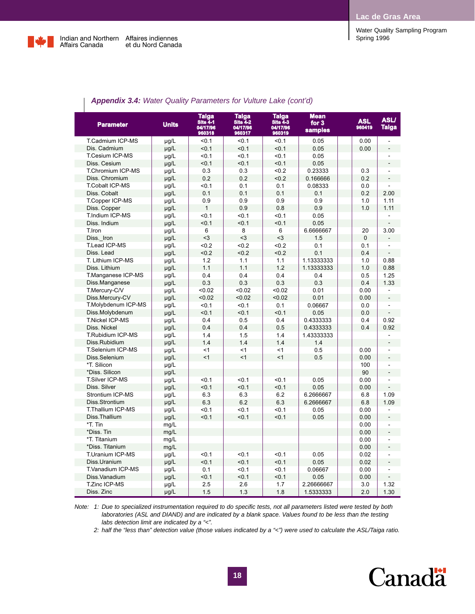

| <b>Appointed Vit.</b> Mater gaanty Faramoloro for Valtaro Lano (born u) |              |                                                |                                                       |                                                       |                                        |                      |                             |
|-------------------------------------------------------------------------|--------------|------------------------------------------------|-------------------------------------------------------|-------------------------------------------------------|----------------------------------------|----------------------|-----------------------------|
| <b>Parameter</b>                                                        | <b>Units</b> | Taiga<br><b>Site 4-1</b><br>04/17/96<br>960318 | <b>Taiga</b><br><b>Site 4-2</b><br>04/17/96<br>960317 | <b>Taiga</b><br><b>Site 4-3</b><br>04/17/96<br>960319 | <b>Mean</b><br>for 3<br><b>samples</b> | <b>ASL</b><br>960419 | <b>ASLI</b><br><b>Taiga</b> |
| T.Cadmium ICP-MS                                                        | µg/L         | < 0.1                                          | < 0.1                                                 | < 0.1                                                 | 0.05                                   | 0.00                 |                             |
| Dis. Cadmium                                                            | $\mu$ g/L    | < 0.1                                          | < 0.1                                                 | < 0.1                                                 | 0.05                                   | 0.00                 |                             |
| T.Cesium ICP-MS                                                         | µg/L         | < 0.1                                          | < 0.1                                                 | < 0.1                                                 | 0.05                                   |                      |                             |
| Diss. Cesium                                                            | µg/L         | < 0.1                                          | < 0.1                                                 | < 0.1                                                 | 0.05                                   |                      |                             |
| T.Chromium ICP-MS                                                       | µg/L         | 0.3                                            | 0.3                                                   | <0.2                                                  | 0.23333                                | 0.3                  |                             |
| Diss. Chromium                                                          | $\mu g/L$    | 0.2                                            | 0.2                                                   | <0.2                                                  | 0.166666                               | 0.2                  |                             |
| <b>T.Cobalt ICP-MS</b>                                                  | $\mu$ g/L    | $0.1$                                          | 0.1                                                   | 0.1                                                   | 0.08333                                | 0.0                  |                             |
| Diss. Cobalt                                                            | µg/L         | 0.1                                            | 0.1                                                   | 0.1                                                   | 0.1                                    | 0.2                  | 2.00                        |
| T.Copper ICP-MS                                                         | µg/L         | 0.9                                            | 0.9                                                   | 0.9                                                   | 0.9                                    | 1.0                  | 1.11                        |
| Diss. Copper                                                            | µg/L         | $\mathbf{1}$                                   | 0.9                                                   | 0.8                                                   | 0.9                                    | 1.0                  | 1.11                        |
| T.Indium ICP-MS                                                         | $\mu$ g/L    | < 0.1                                          | < 0.1                                                 | < 0.1                                                 | 0.05                                   |                      |                             |
| Diss. Indium                                                            | µg/L         | < 0.1                                          | < 0.1                                                 | < 0.1                                                 | 0.05                                   |                      |                             |
| T.Iron                                                                  | $\mu$ g/L    | 6                                              | 8                                                     | 6                                                     | 6.6666667                              | 20                   | 3.00                        |
| Diss. Iron                                                              | µg/L         | $3$                                            | $3$                                                   | $3$                                                   | 1.5                                    | $\mathbf 0$          |                             |
| T.Lead ICP-MS                                                           | µg/L         | <0.2                                           | <0.2                                                  | <0.2                                                  | 0.1                                    | 0.1                  |                             |
| Diss. Lead                                                              | µg/L         | < 0.2                                          | < 0.2                                                 | < 0.2                                                 | 0.1                                    | 0.4                  |                             |
| T. Lithium ICP-MS                                                       | µg/L         | 1.2                                            | 1.1                                                   | 1.1                                                   | 1.13333333                             | 1.0                  | 0.88                        |
| Diss. Lithium                                                           | µg/L         | 1.1                                            | 1.1                                                   | 1.2                                                   | 1.13333333                             | 1.0                  | 0.88                        |
| T.Manganese ICP-MS                                                      | µg/L         | 0.4                                            | 0.4                                                   | 0.4                                                   | 0.4                                    | 0.5                  | 1.25                        |
| Diss.Manganese                                                          | µg/L         | 0.3                                            | 0.3                                                   | 0.3                                                   | 0.3                                    | 0.4                  | 1.33                        |
| T.Mercury-C/V                                                           | $\mu$ g/L    | < 0.02                                         | < 0.02                                                | < 0.02                                                | 0.01                                   | 0.00                 |                             |
| Diss.Mercury-CV                                                         | µg/L         | < 0.02                                         | < 0.02                                                | < 0.02                                                | 0.01                                   | 0.00                 |                             |
| T.Molybdenum ICP-MS                                                     | µg/L         | < 0.1                                          | < 0.1                                                 | 0.1                                                   | 0.06667                                | 0.0                  | $\blacksquare$              |
| Diss.Molybdenum                                                         | $\mu$ g/L    | < 0.1                                          | < 0.1                                                 | < 0.1                                                 | 0.05                                   | 0.0                  |                             |
| <b>T.Nickel ICP-MS</b>                                                  | µg/L         | 0.4                                            | 0.5                                                   | 0.4                                                   | 0.4333333                              | 0.4                  | 0.92                        |
| Diss. Nickel                                                            | µg/L         | 0.4                                            | 0.4                                                   | 0.5                                                   | 0.4333333                              | 0.4                  | 0.92                        |
| T.Rubidium ICP-MS                                                       | $\mu$ g/L    | 1.4                                            | 1.5                                                   | 1.4                                                   | 1.43333333                             |                      |                             |
| Diss.Rubidium                                                           | µg/L         | 1.4                                            | 1.4                                                   | 1.4                                                   | 1.4                                    |                      |                             |
| T.Selenium ICP-MS                                                       | µg/L         | $\leq$ 1                                       | $\leq$ 1                                              | < 1                                                   | 0.5                                    | 0.00                 |                             |
| Diss.Selenium                                                           | $\mu$ g/L    | <1                                             | <1                                                    | <1                                                    | 0.5                                    | 0.00                 |                             |
| *T. Silicon                                                             | µg/L         |                                                |                                                       |                                                       |                                        | 100                  |                             |
| *Diss. Silicon                                                          | µg/L         |                                                |                                                       |                                                       |                                        | 90                   | $\blacksquare$              |
| T.Silver ICP-MS                                                         | µg/L         | < 0.1                                          | < 0.1                                                 | < 0.1                                                 | 0.05                                   | 0.00                 |                             |
| Diss. Silver                                                            | µg/L         | < 0.1                                          | < 0.1                                                 | < 0.1                                                 | 0.05                                   | 0.00                 |                             |
| Strontium ICP-MS                                                        | µg/L         | 6.3                                            | 6.3                                                   | 6.2                                                   | 6.2666667                              | 6.8                  | 1.09                        |
| Diss.Strontium                                                          | µg/L         | 6.3                                            | 6.2                                                   | 6.3                                                   | 6.2666667                              | 6.8                  | 1.09                        |
| T.Thallium ICP-MS                                                       | $\mu$ g/L    | < 0.1                                          | < 0.1                                                 | < 0.1                                                 | 0.05                                   | 0.00                 |                             |
| Diss.Thallium                                                           | µg/L         | < 0.1                                          | < 0.1                                                 | < 0.1                                                 | 0.05                                   | 0.00                 |                             |
| *T. Tin                                                                 | mg/L         |                                                |                                                       |                                                       |                                        | 0.00                 | $\overline{a}$              |
| *Diss. Tin                                                              | mg/L         |                                                |                                                       |                                                       |                                        | 0.00                 |                             |
| *T. Titanium                                                            | mg/L         |                                                |                                                       |                                                       |                                        | 0.00                 |                             |
| *Diss. Titanium                                                         | mg/L         |                                                |                                                       |                                                       |                                        | 0.00                 | $\blacksquare$              |
| T.Uranium ICP-MS                                                        |              | < 0.1                                          | < 0.1                                                 | < 0.1                                                 | 0.05                                   | 0.02                 |                             |
| Diss.Uranium                                                            | $\mu$ g/L    | < 0.1                                          | < 0.1                                                 | < 0.1                                                 | 0.05                                   | 0.02                 |                             |
| T.Vanadium ICP-MS                                                       | µg/L         | 0.1                                            | < 0.1                                                 | < 0.1                                                 |                                        |                      |                             |
|                                                                         | $\mu$ g/L    |                                                |                                                       |                                                       | 0.06667                                | 0.00                 |                             |
| Diss. Vanadium                                                          | µg/L         | < 0.1                                          | < 0.1                                                 | < 0.1                                                 | 0.05                                   | 0.00                 |                             |
| T.Zinc ICP-MS                                                           | µg/L         | 2.5                                            | 2.6                                                   | 1.7                                                   | 2.26666667                             | 3.0                  | 1.32                        |
| Diss. Zinc                                                              | µg/L         | 1.5                                            | 1.3                                                   | 1.8                                                   | 1.5333333                              | 2.0                  | 1.30                        |

### *Appendix 3.4: Water Quality Parameters for Vulture Lake (cont'd)*

*Note: 1: Due to specialized instrumentation required to do specific tests, not all parameters listed were tested by both laboratories (ASL and DIAND) and are indicated by a blank space. Values found to be less than the testing labs detection limit are indicated by a "<".*

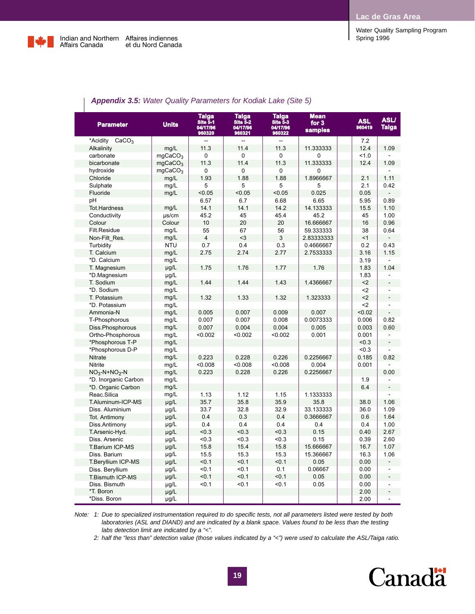Water Quality Sampling Program



| Taiga<br>Site 5-2<br>Taiga<br>Site 5-1<br><b>Units</b><br><b>Parameter</b><br>04/17/96<br>04/17/96<br>960321<br>960320<br>*Acidity<br>CaCO <sub>3</sub><br>$\overline{a}$<br>$\overline{a}$<br>11.3<br>11.4<br>Alkalinity<br>mg/L<br>carbonate<br>mqCaCO <sub>3</sub><br>0<br>0<br>mgCaCO <sub>3</sub><br>11.3<br>11.4<br>bicarbonate<br>hydroxide<br>mqCaCO <sub>3</sub><br>0<br>0<br>Chloride<br>mg/L<br>1.93<br>1.88<br>Sulphate<br>mg/L<br>5<br>5<br>Fluoride<br>< 0.05<br>< 0.05<br>mg/L | <b>Taiga</b><br><b>Mean</b><br><b>ASLI</b><br><b>ASL</b><br>Site 5-3<br>for $3$<br>960419<br><b>Taiga</b><br>04/17/96<br><b>samples</b><br>960322<br>7.2<br>11.3<br>11.333333<br>12.4<br>1.09<br>0<br>$\Omega$<br>1.0<br>11.3<br>11.333333<br>12.4<br>1.09<br>0<br>$\Omega$<br>1.11<br>1.88<br>1.8966667<br>2.1<br>5<br>5<br>2.1<br>0.42<br>< 0.05<br>0.025<br>0.05<br>6.68<br>5.95<br>0.89<br>6.65<br>14.2<br>14.133333<br>15.5<br>1.10<br>45.4<br>45.2<br>1.00<br>45 |
|-----------------------------------------------------------------------------------------------------------------------------------------------------------------------------------------------------------------------------------------------------------------------------------------------------------------------------------------------------------------------------------------------------------------------------------------------------------------------------------------------|------------------------------------------------------------------------------------------------------------------------------------------------------------------------------------------------------------------------------------------------------------------------------------------------------------------------------------------------------------------------------------------------------------------------------------------------------------------------|
|                                                                                                                                                                                                                                                                                                                                                                                                                                                                                               |                                                                                                                                                                                                                                                                                                                                                                                                                                                                        |
|                                                                                                                                                                                                                                                                                                                                                                                                                                                                                               |                                                                                                                                                                                                                                                                                                                                                                                                                                                                        |
|                                                                                                                                                                                                                                                                                                                                                                                                                                                                                               |                                                                                                                                                                                                                                                                                                                                                                                                                                                                        |
|                                                                                                                                                                                                                                                                                                                                                                                                                                                                                               |                                                                                                                                                                                                                                                                                                                                                                                                                                                                        |
|                                                                                                                                                                                                                                                                                                                                                                                                                                                                                               |                                                                                                                                                                                                                                                                                                                                                                                                                                                                        |
|                                                                                                                                                                                                                                                                                                                                                                                                                                                                                               |                                                                                                                                                                                                                                                                                                                                                                                                                                                                        |
|                                                                                                                                                                                                                                                                                                                                                                                                                                                                                               |                                                                                                                                                                                                                                                                                                                                                                                                                                                                        |
|                                                                                                                                                                                                                                                                                                                                                                                                                                                                                               |                                                                                                                                                                                                                                                                                                                                                                                                                                                                        |
|                                                                                                                                                                                                                                                                                                                                                                                                                                                                                               |                                                                                                                                                                                                                                                                                                                                                                                                                                                                        |
| 6.57<br>6.7<br>рH                                                                                                                                                                                                                                                                                                                                                                                                                                                                             |                                                                                                                                                                                                                                                                                                                                                                                                                                                                        |
| <b>Tot.Hardness</b><br>14.1<br>14.1<br>mg/L                                                                                                                                                                                                                                                                                                                                                                                                                                                   |                                                                                                                                                                                                                                                                                                                                                                                                                                                                        |
| 45.2<br>45<br>Conductivity<br>$\mu$ s/cm                                                                                                                                                                                                                                                                                                                                                                                                                                                      |                                                                                                                                                                                                                                                                                                                                                                                                                                                                        |
| 10<br>20<br>Colour<br>Colour                                                                                                                                                                                                                                                                                                                                                                                                                                                                  | 20<br>16.666667<br>16<br>0.96                                                                                                                                                                                                                                                                                                                                                                                                                                          |
| Filt.Residue<br>mg/L<br>55<br>67                                                                                                                                                                                                                                                                                                                                                                                                                                                              | 56<br>59.333333<br>38<br>0.64                                                                                                                                                                                                                                                                                                                                                                                                                                          |
| $\overline{4}$<br>$3$<br>Non-Filt Res.<br>mg/L                                                                                                                                                                                                                                                                                                                                                                                                                                                | 3<br>2.83333333<br><1                                                                                                                                                                                                                                                                                                                                                                                                                                                  |
| <b>NTU</b><br>0.7<br>0.4<br>Turbidity                                                                                                                                                                                                                                                                                                                                                                                                                                                         | 0.3<br>0.4666667<br>0.2<br>0.43                                                                                                                                                                                                                                                                                                                                                                                                                                        |
| mg/L<br>2.75<br>2.74<br>T. Calcium                                                                                                                                                                                                                                                                                                                                                                                                                                                            | 2.77<br>2.7533333<br>3.16<br>1.15                                                                                                                                                                                                                                                                                                                                                                                                                                      |
| *D. Calcium<br>mg/L                                                                                                                                                                                                                                                                                                                                                                                                                                                                           | 3.19                                                                                                                                                                                                                                                                                                                                                                                                                                                                   |
| 1.75<br>1.76<br>T. Magnesium<br>µg/L                                                                                                                                                                                                                                                                                                                                                                                                                                                          | 1.77<br>1.76<br>1.04<br>1.83                                                                                                                                                                                                                                                                                                                                                                                                                                           |
| *D.Magnesium<br>$\mu$ g/L                                                                                                                                                                                                                                                                                                                                                                                                                                                                     | 1.83                                                                                                                                                                                                                                                                                                                                                                                                                                                                   |
| T. Sodium<br>mg/L<br>1.44<br>1.44                                                                                                                                                                                                                                                                                                                                                                                                                                                             | 1.43<br>1.4366667<br>$2$                                                                                                                                                                                                                                                                                                                                                                                                                                               |
| *D. Sodium<br>mg/L                                                                                                                                                                                                                                                                                                                                                                                                                                                                            | $2$                                                                                                                                                                                                                                                                                                                                                                                                                                                                    |
| T. Potassium<br>mg/L<br>1.32<br>1.33                                                                                                                                                                                                                                                                                                                                                                                                                                                          | 1.32<br>1.323333<br>$2$<br>$\overline{a}$                                                                                                                                                                                                                                                                                                                                                                                                                              |
| *D. Potassium<br>mg/L                                                                                                                                                                                                                                                                                                                                                                                                                                                                         | $2$                                                                                                                                                                                                                                                                                                                                                                                                                                                                    |
| 0.005<br>0.007<br>Ammonia-N<br>mg/L                                                                                                                                                                                                                                                                                                                                                                                                                                                           | 0.009<br>0.007<br>< 0.02<br>$\overline{a}$                                                                                                                                                                                                                                                                                                                                                                                                                             |
| 0.007<br>0.007<br>T-Phosphorous<br>mg/L                                                                                                                                                                                                                                                                                                                                                                                                                                                       | 0.008<br>0.0073333<br>0.006<br>0.82                                                                                                                                                                                                                                                                                                                                                                                                                                    |
| mg/L<br>Diss.Phosphorous<br>0.007<br>0.004                                                                                                                                                                                                                                                                                                                                                                                                                                                    | 0.004<br>0.005<br>0.003<br>0.60                                                                                                                                                                                                                                                                                                                                                                                                                                        |
| Ortho-Phosphorous<br>mg/L<br>< 0.002<br>< 0.002                                                                                                                                                                                                                                                                                                                                                                                                                                               | 0.001<br>< 0.002<br>0.001                                                                                                                                                                                                                                                                                                                                                                                                                                              |
| *Phosphorous T-P<br>mg/L                                                                                                                                                                                                                                                                                                                                                                                                                                                                      | < 0.3<br>$\overline{a}$                                                                                                                                                                                                                                                                                                                                                                                                                                                |
| *Phosphorous D-P<br>mg/L                                                                                                                                                                                                                                                                                                                                                                                                                                                                      | < 0.3                                                                                                                                                                                                                                                                                                                                                                                                                                                                  |
| 0.223<br>0.228<br><b>Nitrate</b><br>mg/L                                                                                                                                                                                                                                                                                                                                                                                                                                                      | 0.226<br>0.2256667<br>0.185<br>0.82                                                                                                                                                                                                                                                                                                                                                                                                                                    |
| < 0.008<br>< 0.008<br><b>Nitrite</b><br>mg/L                                                                                                                                                                                                                                                                                                                                                                                                                                                  | < 0.008<br>0.001<br>0.004                                                                                                                                                                                                                                                                                                                                                                                                                                              |
| mg/L<br>0.223<br>0.228<br>$NO3-N+NO2-N$                                                                                                                                                                                                                                                                                                                                                                                                                                                       | 0.226<br>0.2256667<br>0.00                                                                                                                                                                                                                                                                                                                                                                                                                                             |
| *D. Inorganic Carbon<br>mg/L                                                                                                                                                                                                                                                                                                                                                                                                                                                                  | 1.9                                                                                                                                                                                                                                                                                                                                                                                                                                                                    |
| *D. Organic Carbon<br>mg/L                                                                                                                                                                                                                                                                                                                                                                                                                                                                    | 6.4<br>$\frac{1}{2}$                                                                                                                                                                                                                                                                                                                                                                                                                                                   |
| Reac.Silica<br>mg/L<br>1.13<br>1.12                                                                                                                                                                                                                                                                                                                                                                                                                                                           | 1.15<br>1.1333333                                                                                                                                                                                                                                                                                                                                                                                                                                                      |
| $\mu$ g/L<br>35.7<br>35.8<br>T.Aluminum-ICP-MS                                                                                                                                                                                                                                                                                                                                                                                                                                                | 1.06<br>35.9<br>38.0<br>35.8                                                                                                                                                                                                                                                                                                                                                                                                                                           |
| µg/L<br>33.7<br>32.8<br>Diss. Aluminium                                                                                                                                                                                                                                                                                                                                                                                                                                                       | 32.9<br>33.133333<br>36.0<br>1.09                                                                                                                                                                                                                                                                                                                                                                                                                                      |
| 0.4<br>Tot. Antimony<br>µg/L<br>0.3                                                                                                                                                                                                                                                                                                                                                                                                                                                           | 0.4<br>0.3666667<br>1.64<br>0.6                                                                                                                                                                                                                                                                                                                                                                                                                                        |
| 0.4<br>0.4<br>Diss.Antimony<br>µg/L                                                                                                                                                                                                                                                                                                                                                                                                                                                           | 0.4<br>1.00<br>0.4<br>0.4                                                                                                                                                                                                                                                                                                                                                                                                                                              |
| < 0.3<br>T.Arsenic-Hyd.<br>µg/L<br>< 0.3                                                                                                                                                                                                                                                                                                                                                                                                                                                      | < 0.3<br>0.15<br>0.40<br>2.67                                                                                                                                                                                                                                                                                                                                                                                                                                          |
| Diss. Arsenic<br>µg/L<br>< 0.3<br><0.3                                                                                                                                                                                                                                                                                                                                                                                                                                                        | < 0.3<br>0.15<br>2.60<br>0.39                                                                                                                                                                                                                                                                                                                                                                                                                                          |
| 15.8<br>µg/L<br>15.4<br>T.Barium ICP-MS                                                                                                                                                                                                                                                                                                                                                                                                                                                       | 15.8<br>15.666667<br>16.7<br>1.07                                                                                                                                                                                                                                                                                                                                                                                                                                      |
| Diss. Barium<br>µg/L<br>15.5<br>15.3                                                                                                                                                                                                                                                                                                                                                                                                                                                          | 15.3<br>15.366667<br>16.3<br>1.06                                                                                                                                                                                                                                                                                                                                                                                                                                      |
| µg/L<br>< 0.1<br>< 0.1<br>T.Beryllium ICP-MS                                                                                                                                                                                                                                                                                                                                                                                                                                                  | < 0.1<br>0.00<br>0.05                                                                                                                                                                                                                                                                                                                                                                                                                                                  |
| < 0.1<br>µg/L<br>< 0.1<br>Diss. Beryllium                                                                                                                                                                                                                                                                                                                                                                                                                                                     | 0.1<br>0.06667<br>0.00<br>ä,                                                                                                                                                                                                                                                                                                                                                                                                                                           |
| < 0.1<br>< 0.1<br>µg/L<br>T.Bismuth ICP-MS                                                                                                                                                                                                                                                                                                                                                                                                                                                    | < 0.1<br>0.05<br>0.00<br>÷,                                                                                                                                                                                                                                                                                                                                                                                                                                            |
| Diss. Bismuth<br>µg/L<br>< 0.1<br>$0.1$                                                                                                                                                                                                                                                                                                                                                                                                                                                       | $0.1$<br>0.05<br>0.00                                                                                                                                                                                                                                                                                                                                                                                                                                                  |
| *T. Boron<br>µg/L                                                                                                                                                                                                                                                                                                                                                                                                                                                                             | 2.00<br>$\overline{a}$                                                                                                                                                                                                                                                                                                                                                                                                                                                 |
| *Diss. Boron<br>$\mu$ g/L                                                                                                                                                                                                                                                                                                                                                                                                                                                                     | 2.00                                                                                                                                                                                                                                                                                                                                                                                                                                                                   |

### *Appendix 3.5: Water Quality Parameters for Kodiak Lake (Site 5)*

*Note: 1: Due to specialized instrumentation required to do specific tests, not all parameters listed were tested by both laboratories (ASL and DIAND) and are indicated by a blank space. Values found to be less than the testing labs detection limit are indicated by a "<".*

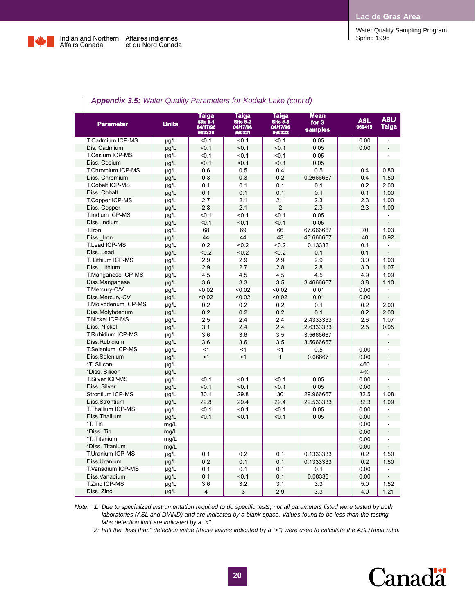

| <b>Parameter</b>        | <b>Units</b> | Taiga<br>Site 5-1<br>04/17/96<br>960320 | <b>Taiga</b><br><b>Site 5-2</b><br>04/17/96<br>960321 | Taiga<br>Site 5-3<br>04/17/96<br>960322 | <b>Mean</b><br>for $3$<br>samples | <b>ASL</b><br>960419 | <b>ASLI</b><br>Taiga     |
|-------------------------|--------------|-----------------------------------------|-------------------------------------------------------|-----------------------------------------|-----------------------------------|----------------------|--------------------------|
| T.Cadmium ICP-MS        | $\mu$ g/L    | < 0.1                                   | < 0.1                                                 | < 0.1                                   | 0.05                              | 0.00                 | $\overline{\phantom{a}}$ |
| Dis. Cadmium            | µg/L         | < 0.1                                   | < 0.1                                                 | < 0.1                                   | 0.05                              | 0.00                 |                          |
| T.Cesium ICP-MS         | µg/L         | < 0.1                                   | < 0.1                                                 | $0.1$                                   | 0.05                              |                      |                          |
| Diss. Cesium            | µg/L         | < 0.1                                   | < 0.1                                                 | $0.1$                                   | 0.05                              |                      |                          |
| T.Chromium ICP-MS       | µg/L         | 0.6                                     | 0.5                                                   | 0.4                                     | 0.5                               | 0.4                  | 0.80                     |
| Diss. Chromium          | µg/L         | 0.3                                     | 0.3                                                   | 0.2                                     | 0.2666667                         | 0.4                  | 1.50                     |
| <b>T.Cobalt ICP-MS</b>  | $\mu$ g/L    | 0.1                                     | 0.1                                                   | 0.1                                     | 0.1                               | 0.2                  | 2.00                     |
| Diss. Cobalt            | µg/L         | 0.1                                     | 0.1                                                   | 0.1                                     | 0.1                               | 0.1                  | 1.00                     |
| T.Copper ICP-MS         | µg/L         | 2.7                                     | 2.1                                                   | 2.1                                     | 2.3                               | 2.3                  | 1.00                     |
| Diss. Copper            | µg/L         | 2.8                                     | 2.1                                                   | $\overline{2}$                          | 2.3                               | 2.3                  | 1.00                     |
| T.Indium ICP-MS         | µg/L         | $0.1$                                   | < 0.1                                                 | < 0.1                                   | 0.05                              |                      |                          |
| Diss. Indium            | µg/L         | < 0.1                                   | < 0.1                                                 | < 0.1                                   | 0.05                              |                      |                          |
| T.Iron                  | µg/L         | 68                                      | 69                                                    | 66                                      | 67.666667                         | 70                   | 1.03                     |
| Diss. Iron              | µg/L         | 44                                      | 44                                                    | 43                                      | 43.666667                         | 40                   | 0.92                     |
| T.Lead ICP-MS           | µg/L         | 0.2                                     | < 0.2                                                 | < 0.2                                   | 0.13333                           | 0.1                  |                          |
| Diss. Lead              | µg/L         | < 0.2                                   | &0.2                                                  | < 0.2                                   | 0.1                               | 0.1                  |                          |
| T. Lithium ICP-MS       | $\mu$ g/L    | 2.9                                     | 2.9                                                   | 2.9                                     | 2.9                               | 3.0                  | 1.03                     |
| Diss. Lithium           | $\mu$ g/L    | 2.9                                     | 2.7                                                   | 2.8                                     | 2.8                               | 3.0                  | 1.07                     |
| T.Manganese ICP-MS      | µg/L         | 4.5                                     | 4.5                                                   | 4.5                                     | 4.5                               | 4.9                  | 1.09                     |
| Diss.Manganese          | $\mu$ g/L    | 3.6                                     | 3.3                                                   | 3.5                                     | 3.4666667                         | 3.8                  | 1.10                     |
| T.Mercury-C/V           | µg/L         | < 0.02                                  | < 0.02                                                | < 0.02                                  | 0.01                              | 0.00                 |                          |
| Diss.Mercury-CV         | $\mu$ g/L    | < 0.02                                  | < 0.02                                                | < 0.02                                  | 0.01                              | 0.00                 |                          |
| T.Molybdenum ICP-MS     | µg/L         | 0.2                                     | 0.2                                                   | 0.2                                     | 0.1                               | 0.2                  | 2.00                     |
| Diss.Molybdenum         | µg/L         | 0.2                                     | 0.2                                                   | 0.2                                     | 0.1                               | 0.2                  | 2.00                     |
| <b>T.Nickel ICP-MS</b>  | µg/L         | 2.5                                     | 2.4                                                   | 2.4                                     | 2.4333333                         | 2.6                  | 1.07                     |
| Diss. Nickel            | µg/L         | 3.1                                     | 2.4                                                   | 2.4                                     | 2.6333333                         | 2.5                  | 0.95                     |
| T.Rubidium ICP-MS       | µg/L         | 3.6                                     | 3.6                                                   | 3.5                                     | 3.5666667                         |                      |                          |
| Diss.Rubidium           | µg/L         | 3.6                                     | 3.6                                                   | 3.5                                     | 3.5666667                         |                      |                          |
| T.Selenium ICP-MS       | µg/L         | < 1                                     | $\leq$ 1                                              | < 1                                     | 0.5                               | 0.00                 |                          |
| Diss.Selenium           | µg/L         | $\leq$ 1                                | $\leq$ 1                                              | $\mathbf{1}$                            | 0.66667                           | 0.00                 |                          |
| *T. Silicon             | µg/L         |                                         |                                                       |                                         |                                   | 460                  |                          |
| *Diss. Silicon          | µg/L         |                                         |                                                       |                                         |                                   | 460                  | $\overline{a}$           |
| <b>T.Silver ICP-MS</b>  | µg/L         | $0.1$                                   | < 0.1                                                 | < 0.1                                   | 0.05                              | 0.00                 |                          |
| Diss. Silver            | µg/L         | < 0.1                                   | < 0.1                                                 | < 0.1                                   | 0.05                              | 0.00                 |                          |
| <b>Strontium ICP-MS</b> | $\mu$ g/L    | 30.1                                    | 29.8                                                  | 30                                      | 29.966667                         | 32.5                 | 1.08                     |
| Diss.Strontium          | $\mu$ g/L    | 29.8                                    | 29.4                                                  | 29.4                                    | 29.533333                         | 32.3                 | 1.09                     |
| T.Thallium ICP-MS       | µg/L         | $0.1$                                   | < 0.1                                                 | $0.1$                                   | 0.05                              | 0.00                 | $\overline{a}$           |
| Diss.Thallium           | $\mu$ g/L    | < 0.1                                   | < 0.1                                                 | < 0.1                                   | 0.05                              | 0.00                 | $\overline{a}$           |
| *T. Tin                 | mg/L         |                                         |                                                       |                                         |                                   | 0.00                 | ÷,                       |
| *Diss. Tin              | mg/L         |                                         |                                                       |                                         |                                   | 0.00                 |                          |
| *T. Titanium            | mg/L         |                                         |                                                       |                                         |                                   | 0.00                 |                          |
| *Diss. Titanium         | mg/L         |                                         |                                                       |                                         |                                   | 0.00                 |                          |
| T.Uranium ICP-MS        | µg/L         | 0.1                                     | 0.2                                                   | 0.1                                     | 0.1333333                         | 0.2                  | 1.50                     |
| Diss.Uranium            | µg/L         | 0.2                                     | 0.1                                                   | 0.1                                     | 0.1333333                         | 0.2                  | 1.50                     |
| T.Vanadium ICP-MS       | µg/L         | 0.1                                     | 0.1                                                   | 0.1                                     | 0.1                               | 0.00                 |                          |
| Diss. Vanadium          | µg/L         | 0.1                                     | < 0.1                                                 | 0.1                                     | 0.08333                           | 0.00                 |                          |
| T.Zinc ICP-MS           | µg/L         | 3.6                                     | 3.2                                                   | 3.1                                     | 3.3                               | 5.0                  | 1.52                     |
| Diss. Zinc              | µg/L         | $\overline{4}$                          | 3                                                     | 2.9                                     | 3.3                               | 4.0                  | 1.21                     |

### *Appendix 3.5: Water Quality Parameters for Kodiak Lake (cont'd)*

*Note: 1: Due to specialized instrumentation required to do specific tests, not all parameters listed were tested by both laboratories (ASL and DIAND) and are indicated by a blank space. Values found to be less than the testing labs detection limit are indicated by a "<".*

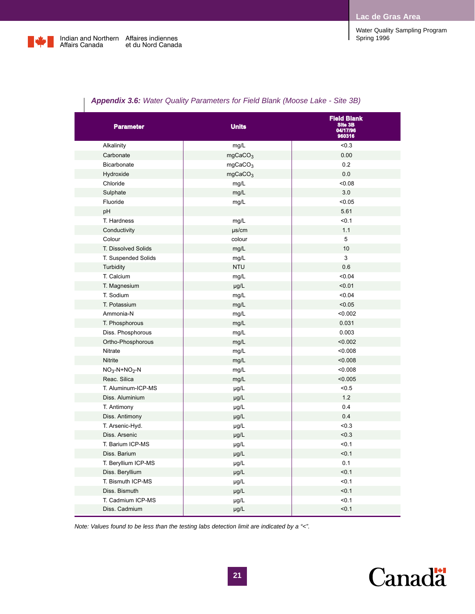

| Water Quality Sampling Program |  |
|--------------------------------|--|
| Spring 1996                    |  |

| <b>Appendix 3.6:</b> Water Quality Parameters for Field Blank (Moose Lake - Site 3B) |  |  |  |  |  |
|--------------------------------------------------------------------------------------|--|--|--|--|--|
|--------------------------------------------------------------------------------------|--|--|--|--|--|

| <b>Parameter</b>    | <b>Units</b>        | <b>Field Blank</b><br>Site 3B<br>04/17/96<br>960316 |
|---------------------|---------------------|-----------------------------------------------------|
| Alkalinity          | mg/L                | < 0.3                                               |
| Carbonate           | mgCaCO <sub>3</sub> | 0.00                                                |
| Bicarbonate         | mgCaCO <sub>3</sub> | 0.2                                                 |
| Hydroxide           | mgCaCO <sub>3</sub> | $0.0\,$                                             |
| Chloride            | mg/L                | <0.08                                               |
| Sulphate            | mg/L                | 3.0                                                 |
| Fluoride            | mg/L                | < 0.05                                              |
| pH                  |                     | 5.61                                                |
| T. Hardness         | mg/L                | < 0.1                                               |
| Conductivity        | $\mu$ s/cm          | 1.1                                                 |
| Colour              | colour              | 5                                                   |
| T. Dissolved Solids | mg/L                | $10$                                                |
| T. Suspended Solids | mg/L                | 3                                                   |
| Turbidity           | <b>NTU</b>          | 0.6                                                 |
| T. Calcium          | mg/L                | < 0.04                                              |
| T. Magnesium        | $\mu g/L$           | < 0.01                                              |
| T. Sodium           | mg/L                | < 0.04                                              |
| T. Potassium        | mg/L                | < 0.05                                              |
| Ammonia-N           | mg/L                | < 0.002                                             |
| T. Phosphorous      | mg/L                | 0.031                                               |
| Diss. Phosphorous   | mg/L                | 0.003                                               |
| Ortho-Phosphorous   | mg/L                | < 0.002                                             |
| Nitrate             | mg/L                | <0.008                                              |
| Nitrite             | mg/L                | < 0.008                                             |
| $NO3-N+NO2-N$       | mg/L                | < 0.008                                             |
| Reac. Silica        | mg/L                | < 0.005                                             |
| T. Aluminum-ICP-MS  | µg/L                | < 0.5                                               |
| Diss. Aluminium     | µg/L                | $1.2$                                               |
| T. Antimony         | $\mu$ g/L           | 0.4                                                 |
| Diss. Antimony      | $\mu$ g/L           | 0.4                                                 |
| T. Arsenic-Hyd.     | $\mu g/L$           | < 0.3                                               |
| Diss. Arsenic       | $\mu g/L$           | < 0.3                                               |
| T. Barium ICP-MS    | µg/L                | < 0.1                                               |
| Diss. Barium        | µg/L                | < 0.1                                               |
| T. Beryllium ICP-MS | µg/L                | 0.1                                                 |
| Diss. Beryllium     | $\mu g/L$           | < 0.1                                               |
| T. Bismuth ICP-MS   | $\mu$ g/L           | < 0.1                                               |
| Diss. Bismuth       | $\mu g/L$           | < 0.1                                               |
| T. Cadmium ICP-MS   | $\mu$ g/L           | < 0.1                                               |
| Diss. Cadmium       | $\mu$ g/L           | < 0.1                                               |

*Note: Values found to be less than the testing labs detection limit are indicated by a "<".*

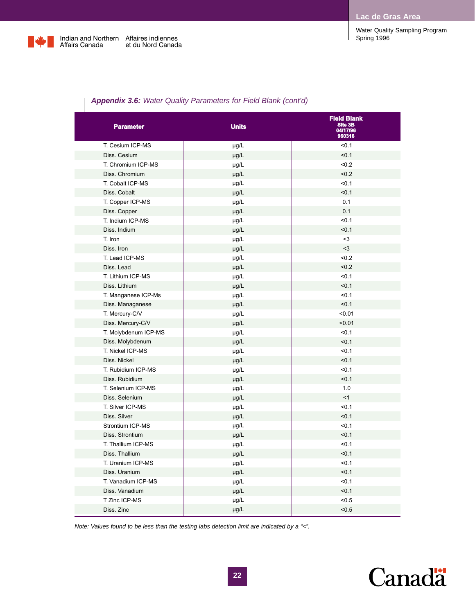

Affaires indiennes et du Nord Canada

Water Quality Sampling Program Spring 1996

### *Appendix 3.6: Water Quality Parameters for Field Blank (cont'd)*

| <b>Parameter</b>     | <b>Units</b> | <b>Field Blank</b><br>Site 3B<br>04/17/96<br>960316 |  |
|----------------------|--------------|-----------------------------------------------------|--|
| T. Cesium ICP-MS     | µg/L         | < 0.1                                               |  |
| Diss. Cesium         | µg/L         | < 0.1                                               |  |
| T. Chromium ICP-MS   | µg/L         | < 0.2                                               |  |
| Diss. Chromium       | µg/L         | < 0.2                                               |  |
| T. Cobalt ICP-MS     | µg/L         | < 0.1                                               |  |
| Diss. Cobalt         | µg/L         | < 0.1                                               |  |
| T. Copper ICP-MS     | µg/L         | 0.1                                                 |  |
| Diss. Copper         | µg/L         | 0.1                                                 |  |
| T. Indium ICP-MS     | µg/L         | < 0.1                                               |  |
| Diss. Indium         | µg/L         | < 0.1                                               |  |
| T. Iron              | µg/L         | $3$                                                 |  |
| Diss. Iron           | µg/L         | $3$                                                 |  |
| T. Lead ICP-MS       | µg/L         | < 0.2                                               |  |
| Diss. Lead           | µg/L         | < 0.2                                               |  |
| T. Lithium ICP-MS    | µg/L         | < 0.1                                               |  |
| Diss. Lithium        | µg/L         | < 0.1                                               |  |
| T. Manganese ICP-Ms  | µg/L         | < 0.1                                               |  |
| Diss. Managanese     | µg/L         | < 0.1                                               |  |
| T. Mercury-C/V       | µg/L         | < 0.01                                              |  |
| Diss. Mercury-C/V    | µg/L         | < 0.01                                              |  |
| T. Molybdenum ICP-MS | µg/L         | < 0.1                                               |  |
| Diss. Molybdenum     | µg/L         | < 0.1                                               |  |
| T. Nickel ICP-MS     | µg/L         | < 0.1                                               |  |
| Diss. Nickel         | µg/L         | < 0.1                                               |  |
| T. Rubidium ICP-MS   | µg/L         | < 0.1                                               |  |
| Diss. Rubidium       | µg/L         | < 0.1                                               |  |
| T. Selenium ICP-MS   | µg/L         | 1.0                                                 |  |
| Diss. Selenium       | µg/L         | <1                                                  |  |
| T. Silver ICP-MS     | µg/L         | < 0.1                                               |  |
| Diss. Silver         | µg/L         | < 0.1                                               |  |
| Strontium ICP-MS     | µg/L         | < 0.1                                               |  |
| Diss. Strontium      | µg/L         | < 0.1                                               |  |
| T. Thallium ICP-MS   | µg/L         | < 0.1                                               |  |
| Diss. Thallium       | µg/L         | < 0.1                                               |  |
| T. Uranium ICP-MS    | µg/L         | < 0.1                                               |  |
| Diss. Uranium        | µg/L         | < 0.1                                               |  |
| T. Vanadium ICP-MS   | µg/L         | < 0.1                                               |  |
| Diss. Vanadium       | µg/L         | < 0.1                                               |  |
| T Zinc ICP-MS        | µg/L         | < 0.5                                               |  |
| Diss. Zinc           | µg/L         | < 0.5                                               |  |

*Note: Values found to be less than the testing labs detection limit are indicated by a "<".*